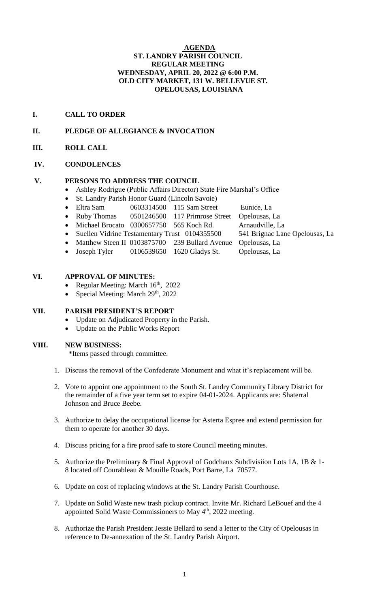### **AGENDA ST. LANDRY PARISH COUNCIL REGULAR MEETING WEDNESDAY, APRIL 20, 2022 @ 6:00 P.M. OLD CITY MARKET, 131 W. BELLEVUE ST. OPELOUSAS, LOUISIANA**

## **I. CALL TO ORDER**

## **II. PLEDGE OF ALLEGIANCE & INVOCATION**

**III. ROLL CALL**

### **IV. CONDOLENCES**

### **V. PERSONS TO ADDRESS THE COUNCIL**

- Ashley Rodrigue (Public Affairs Director) State Fire Marshal's Office
- St. Landry Parish Honor Guard (Lincoln Savoie)
- Eltra Sam 0603314500 115 Sam Street Eunice, La
- Ruby Thomas 0501246500 117 Primrose Street Opelousas, La
- Michael Brocato 0300657750 565 Koch Rd. Arnaudville, La
- Suellen Vidrine Testamentary Trust 0104355500 541 Brignac Lane Opelousas, La
- Matthew Steen II 0103875700 239 Bullard Avenue Opelousas, La
- Joseph Tyler 0106539650 1620 Gladys St. Opelousas, La

### **VI. APPROVAL OF MINUTES:**

- Regular Meeting: March  $16<sup>th</sup>$ , 2022
- Special Meeting: March  $29<sup>th</sup>$ , 2022

# **VII. PARISH PRESIDENT'S REPORT**

- Update on Adjudicated Property in the Parish.
- Update on the Public Works Report

### **VIII. NEW BUSINESS:**

\*Items passed through committee.

- 1. Discuss the removal of the Confederate Monument and what it's replacement will be.
- 2. Vote to appoint one appointment to the South St. Landry Community Library District for the remainder of a five year term set to expire 04-01-2024. Applicants are: Shaterral Johnson and Bruce Beebe.
- 3. Authorize to delay the occupational license for Asterta Espree and extend permission for them to operate for another 30 days.
- 4. Discuss pricing for a fire proof safe to store Council meeting minutes.
- 5. Authorize the Preliminary & Final Approval of Godchaux Subdivisiion Lots 1A, 1B & 1- 8 located off Courableau & Mouille Roads, Port Barre, La 70577.
- 6. Update on cost of replacing windows at the St. Landry Parish Courthouse.
- 7. Update on Solid Waste new trash pickup contract. Invite Mr. Richard LeBouef and the 4 appointed Solid Waste Commissioners to May 4<sup>th</sup>, 2022 meeting.
- 8. Authorize the Parish President Jessie Bellard to send a letter to the City of Opelousas in reference to De-annexation of the St. Landry Parish Airport.
	- 1
- -
	-
- 
-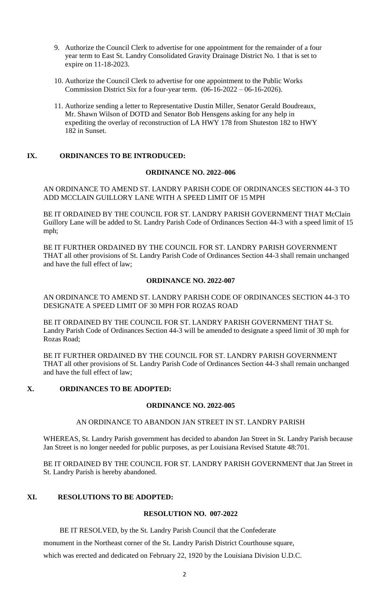- 9. Authorize the Council Clerk to advertise for one appointment for the remainder of a four year term to East St. Landry Consolidated Gravity Drainage District No. 1 that is set to expire on 11-18-2023.
- 10. Authorize the Council Clerk to advertise for one appointment to the Public Works Commission District Six for a four-year term. (06-16-2022 – 06-16-2026).
- 11. Authorize sending a letter to Representative Dustin Miller, Senator Gerald Boudreaux, Mr. Shawn Wilson of DOTD and Senator Bob Hensgens asking for any help in expediting the overlay of reconstruction of LA HWY 178 from Shuteston 182 to HWY 182 in Sunset.

### **IX. ORDINANCES TO BE INTRODUCED:**

#### **ORDINANCE NO. 2022–006**

AN ORDINANCE TO AMEND ST. LANDRY PARISH CODE OF ORDINANCES SECTION 44-3 TO ADD MCCLAIN GUILLORY LANE WITH A SPEED LIMIT OF 15 MPH

BE IT ORDAINED BY THE COUNCIL FOR ST. LANDRY PARISH GOVERNMENT THAT McClain Guillory Lane will be added to St. Landry Parish Code of Ordinances Section 44-3 with a speed limit of 15 mph;

BE IT FURTHER ORDAINED BY THE COUNCIL FOR ST. LANDRY PARISH GOVERNMENT THAT all other provisions of St. Landry Parish Code of Ordinances Section 44-3 shall remain unchanged and have the full effect of law;

### **ORDINANCE NO. 2022-007**

AN ORDINANCE TO AMEND ST. LANDRY PARISH CODE OF ORDINANCES SECTION 44-3 TO DESIGNATE A SPEED LIMIT OF 30 MPH FOR ROZAS ROAD

BE IT ORDAINED BY THE COUNCIL FOR ST. LANDRY PARISH GOVERNMENT THAT St. Landry Parish Code of Ordinances Section 44-3 will be amended to designate a speed limit of 30 mph for Rozas Road;

BE IT FURTHER ORDAINED BY THE COUNCIL FOR ST. LANDRY PARISH GOVERNMENT THAT all other provisions of St. Landry Parish Code of Ordinances Section 44-3 shall remain unchanged and have the full effect of law;

# **X. ORDINANCES TO BE ADOPTED:**

### **ORDINANCE NO. 2022-005**

# AN ORDINANCE TO ABANDON JAN STREET IN ST. LANDRY PARISH

WHEREAS, St. Landry Parish government has decided to abandon Jan Street in St. Landry Parish because Jan Street is no longer needed for public purposes, as per Louisiana Revised Statute 48:701.

BE IT ORDAINED BY THE COUNCIL FOR ST. LANDRY PARISH GOVERNMENT that Jan Street in St. Landry Parish is hereby abandoned.

## **XI. RESOLUTIONS TO BE ADOPTED:**

#### **RESOLUTION NO. 007-2022**

BE IT RESOLVED, by the St. Landry Parish Council that the Confederate

monument in the Northeast corner of the St. Landry Parish District Courthouse square,

which was erected and dedicated on February 22, 1920 by the Louisiana Division U.D.C.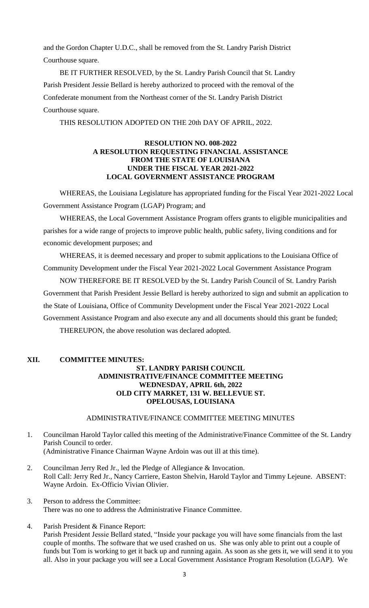and the Gordon Chapter U.D.C., shall be removed from the St. Landry Parish District Courthouse square.

BE IT FURTHER RESOLVED, by the St. Landry Parish Council that St. Landry Parish President Jessie Bellard is hereby authorized to proceed with the removal of the Confederate monument from the Northeast corner of the St. Landry Parish District Courthouse square.

THIS RESOLUTION ADOPTED ON THE 20th DAY OF APRIL, 2022.

### **RESOLUTION NO. 008-2022 A RESOLUTION REQUESTING FINANCIAL ASSISTANCE FROM THE STATE OF LOUISIANA UNDER THE FISCAL YEAR 2021-2022 LOCAL GOVERNMENT ASSISTANCE PROGRAM**

WHEREAS, the Louisiana Legislature has appropriated funding for the Fiscal Year 2021-2022 Local Government Assistance Program (LGAP) Program; and

WHEREAS, the Local Government Assistance Program offers grants to eligible municipalities and parishes for a wide range of projects to improve public health, public safety, living conditions and for economic development purposes; and

WHEREAS, it is deemed necessary and proper to submit applications to the Louisiana Office of Community Development under the Fiscal Year 2021-2022 Local Government Assistance Program

NOW THEREFORE BE IT RESOLVED by the St. Landry Parish Council of St. Landry Parish Government that Parish President Jessie Bellard is hereby authorized to sign and submit an application to the State of Louisiana, Office of Community Development under the Fiscal Year 2021-2022 Local Government Assistance Program and also execute any and all documents should this grant be funded; THEREUPON, the above resolution was declared adopted.

# **XII. COMMITTEE MINUTES: ST. LANDRY PARISH COUNCIL ADMINISTRATIVE/FINANCE COMMITTEE MEETING WEDNESDAY, APRIL 6th, 2022 OLD CITY MARKET, 131 W. BELLEVUE ST. OPELOUSAS, LOUISIANA**

### ADMINISTRATIVE/FINANCE COMMITTEE MEETING MINUTES

1. Councilman Harold Taylor called this meeting of the Administrative/Finance Committee of the St. Landry Parish Council to order. (Administrative Finance Chairman Wayne Ardoin was out ill at this time).

- 2. Councilman Jerry Red Jr., led the Pledge of Allegiance & Invocation. Roll Call: Jerry Red Jr., Nancy Carriere, Easton Shelvin, Harold Taylor and Timmy Lejeune. ABSENT: Wayne Ardoin. Ex-Officio Vivian Olivier.
- 3. Person to address the Committee: There was no one to address the Administrative Finance Committee.
- 4. Parish President & Finance Report: Parish President Jessie Bellard stated, "Inside your package you will have some financials from the last couple of months. The software that we used crashed on us. She was only able to print out a couple of funds but Tom is working to get it back up and running again. As soon as she gets it, we will send it to you all. Also in your package you will see a Local Government Assistance Program Resolution (LGAP). We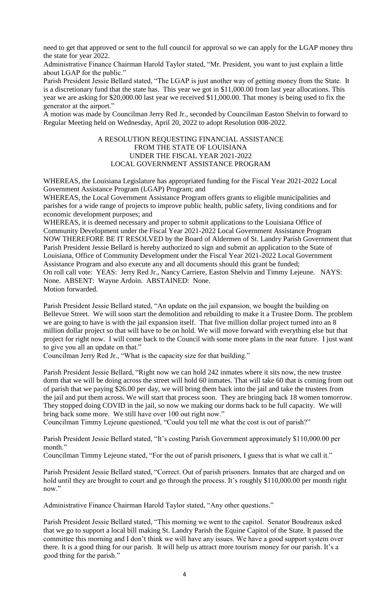need to get that approved or sent to the full council for approval so we can apply for the LGAP money thru the state for year 2022.

Administrative Finance Chairman Harold Taylor stated, "Mr. President, you want to just explain a little about LGAP for the public."

Parish President Jessie Bellard stated, "The LGAP is just another way of getting money from the State. It is a discretionary fund that the state has. This year we got in \$11,000.00 from last year allocations. This year we are asking for \$20,000.00 last year we received \$11,000.00. That money is being used to fix the generator at the airport."

A motion was made by Councilman Jerry Red Jr., seconded by Councilman Easton Shelvin to forward to Regular Meeting held on Wednesday, April 20, 2022 to adopt Resolution 008-2022.

### A RESOLUTION REQUESTING FINANCIAL ASSISTANCE FROM THE STATE OF LOUISIANA UNDER THE FISCAL YEAR 2021-2022 LOCAL GOVERNMENT ASSISTANCE PROGRAM

WHEREAS, the Louisiana Legislature has appropriated funding for the Fiscal Year 2021-2022 Local Government Assistance Program (LGAP) Program; and

WHEREAS, the Local Government Assistance Program offers grants to eligible municipalities and parishes for a wide range of projects to improve public health, public safety, living conditions and for economic development purposes; and

WHEREAS, it is deemed necessary and proper to submit applications to the Louisiana Office of Community Development under the Fiscal Year 2021-2022 Local Government Assistance Program NOW THEREFORE BE IT RESOLVED by the Board of Aldermen of St. Landry Parish Government that Parish President Jessie Bellard is hereby authorized to sign and submit an application to the State of Louisiana, Office of Community Development under the Fiscal Year 2021-2022 Local Government Assistance Program and also execute any and all documents should this grant be funded; On roll call vote: YEAS: Jerry Red Jr., Nancy Carriere, Easton Shelvin and Timmy Lejeune. NAYS: None. ABSENT: Wayne Ardoin. ABSTAINED: None. Motion forwarded.

Parish President Jessie Bellard stated, "An update on the jail expansion, we bought the building on Bellevue Street. We will soon start the demolition and rebuilding to make it a Trustee Dorm. The problem we are going to have is with the jail expansion itself. That five million dollar project turned into an 8 million dollar project so that will have to be on hold. We will move forward with everything else but that project for right now. I will come back to the Council with some more plans in the near future. I just want to give you all an update on that."

Councilman Jerry Red Jr., "What is the capacity size for that building."

Parish President Jessie Bellard, "Right now we can hold 242 inmates where it sits now, the new trustee dorm that we will be doing across the street will hold 60 inmates. That will take 60 that is coming from out of parish that we paying \$26.00 per day, we will bring them back into the jail and take the trustees from the jail and put them across. We will start that process soon. They are bringing back 18 women tomorrow. They stopped doing COVID in the jail, so now we making our dorms back to be full capacity. We will bring back some more. We still have over 100 out right now."

Councilman Timmy Lejeune questioned, "Could you tell me what the cost is out of parish?"

Parish President Jessie Bellard stated, "It's costing Parish Government approximately \$110,000.00 per month."

Councilman Timmy Lejeune stated, "For the out of parish prisoners, I guess that is what we call it."

Parish President Jessie Bellard stated, "Correct. Out of parish prisoners. Inmates that are charged and on hold until they are brought to court and go through the process. It's roughly \$110,000.00 per month right now."

Administrative Finance Chairman Harold Taylor stated, "Any other questions."

Parish President Jessie Bellard stated, "This morning we went to the capitol. Senator Boudreaux asked that we go to support a local bill making St. Landry Parish the Equine Capitol of the State. It passed the committee this morning and I don't think we will have any issues. We have a good support system over there. It is a good thing for our parish. It will help us attract more tourism money for our parish. It's a good thing for the parish."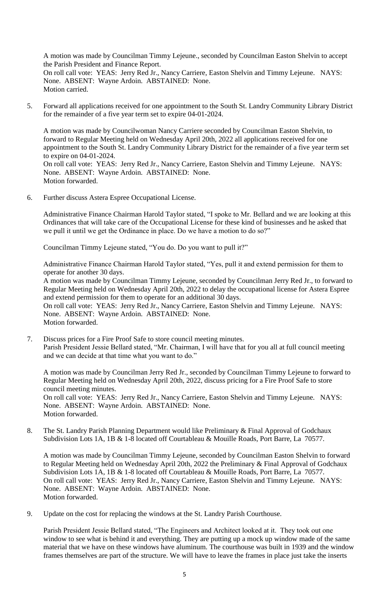A motion was made by Councilman Timmy Lejeune., seconded by Councilman Easton Shelvin to accept the Parish President and Finance Report. On roll call vote: YEAS: Jerry Red Jr., Nancy Carriere, Easton Shelvin and Timmy Lejeune. NAYS: None. ABSENT: Wayne Ardoin. ABSTAINED: None. Motion carried.

5. Forward all applications received for one appointment to the South St. Landry Community Library District for the remainder of a five year term set to expire 04-01-2024.

A motion was made by Councilwoman Nancy Carriere seconded by Councilman Easton Shelvin, to forward to Regular Meeting held on Wednesday April 20th, 2022 all applications received for one appointment to the South St. Landry Community Library District for the remainder of a five year term set to expire on 04-01-2024. On roll call vote: YEAS: Jerry Red Jr., Nancy Carriere, Easton Shelvin and Timmy Lejeune. NAYS: None. ABSENT: Wayne Ardoin. ABSTAINED: None.

6. Further discuss Astera Espree Occupational License.

Motion forwarded.

Administrative Finance Chairman Harold Taylor stated, "I spoke to Mr. Bellard and we are looking at this Ordinances that will take care of the Occupational License for these kind of businesses and he asked that we pull it until we get the Ordinance in place. Do we have a motion to do so?"

Councilman Timmy Lejeune stated, "You do. Do you want to pull it?"

Administrative Finance Chairman Harold Taylor stated, "Yes, pull it and extend permission for them to operate for another 30 days.

A motion was made by Councilman Timmy Lejeune, seconded by Councilman Jerry Red Jr., to forward to Regular Meeting held on Wednesday April 20th, 2022 to delay the occupational license for Astera Espree and extend permission for them to operate for an additional 30 days.

On roll call vote: YEAS: Jerry Red Jr., Nancy Carriere, Easton Shelvin and Timmy Lejeune. NAYS: None. ABSENT: Wayne Ardoin. ABSTAINED: None. Motion forwarded.

7. Discuss prices for a Fire Proof Safe to store council meeting minutes. Parish President Jessie Bellard stated, "Mr. Chairman, I will have that for you all at full council meeting and we can decide at that time what you want to do."

A motion was made by Councilman Jerry Red Jr., seconded by Councilman Timmy Lejeune to forward to Regular Meeting held on Wednesday April 20th, 2022, discuss pricing for a Fire Proof Safe to store council meeting minutes. On roll call vote: YEAS: Jerry Red Jr., Nancy Carriere, Easton Shelvin and Timmy Lejeune. NAYS: None. ABSENT: Wayne Ardoin. ABSTAINED: None. Motion forwarded.

8. The St. Landry Parish Planning Department would like Preliminary & Final Approval of Godchaux Subdivision Lots 1A, 1B & 1-8 located off Courtableau & Mouille Roads, Port Barre, La 70577.

A motion was made by Councilman Timmy Lejeune, seconded by Councilman Easton Shelvin to forward to Regular Meeting held on Wednesday April 20th, 2022 the Preliminary & Final Approval of Godchaux Subdivision Lots 1A, 1B & 1-8 located off Courtableau & Mouille Roads, Port Barre, La 70577. On roll call vote: YEAS: Jerry Red Jr., Nancy Carriere, Easton Shelvin and Timmy Lejeune. NAYS: None. ABSENT: Wayne Ardoin. ABSTAINED: None. Motion forwarded.

9. Update on the cost for replacing the windows at the St. Landry Parish Courthouse.

Parish President Jessie Bellard stated, "The Engineers and Architect looked at it. They took out one window to see what is behind it and everything. They are putting up a mock up window made of the same material that we have on these windows have aluminum. The courthouse was built in 1939 and the window frames themselves are part of the structure. We will have to leave the frames in place just take the inserts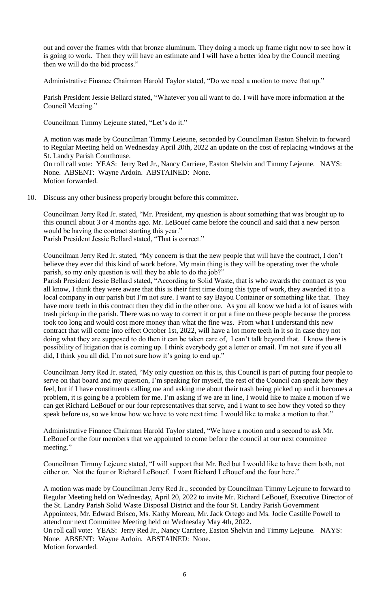out and cover the frames with that bronze aluminum. They doing a mock up frame right now to see how it is going to work. Then they will have an estimate and I will have a better idea by the Council meeting then we will do the bid process."

Administrative Finance Chairman Harold Taylor stated, "Do we need a motion to move that up."

Parish President Jessie Bellard stated, "Whatever you all want to do. I will have more information at the Council Meeting."

Councilman Timmy Lejeune stated, "Let's do it."

A motion was made by Councilman Timmy Lejeune, seconded by Councilman Easton Shelvin to forward to Regular Meeting held on Wednesday April 20th, 2022 an update on the cost of replacing windows at the St. Landry Parish Courthouse. On roll call vote: YEAS: Jerry Red Jr., Nancy Carriere, Easton Shelvin and Timmy Lejeune. NAYS: None. ABSENT: Wayne Ardoin. ABSTAINED: None. Motion forwarded.

10. Discuss any other business properly brought before this committee.

Councilman Jerry Red Jr. stated, "Mr. President, my question is about something that was brought up to this council about 3 or 4 months ago. Mr. LeBouef came before the council and said that a new person would be having the contract starting this year." Parish President Jessie Bellard stated, "That is correct."

Councilman Jerry Red Jr. stated, "My concern is that the new people that will have the contract, I don't believe they ever did this kind of work before. My main thing is they will be operating over the whole parish, so my only question is will they be able to do the job?"

Parish President Jessie Bellard stated, "According to Solid Waste, that is who awards the contract as you all know, I think they were aware that this is their first time doing this type of work, they awarded it to a local company in our parish but I'm not sure. I want to say Bayou Container or something like that. They have more teeth in this contract then they did in the other one. As you all know we had a lot of issues with trash pickup in the parish. There was no way to correct it or put a fine on these people because the process took too long and would cost more money than what the fine was. From what I understand this new contract that will come into effect October 1st, 2022, will have a lot more teeth in it so in case they not doing what they are supposed to do then it can be taken care of, I can't talk beyond that. I know there is possibility of litigation that is coming up. I think everybody got a letter or email. I'm not sure if you all did, I think you all did, I'm not sure how it's going to end up."

Councilman Jerry Red Jr. stated, "My only question on this is, this Council is part of putting four people to serve on that board and my question, I'm speaking for myself, the rest of the Council can speak how they feel, but if I have constituents calling me and asking me about their trash being picked up and it becomes a problem, it is going be a problem for me. I'm asking if we are in line, I would like to make a motion if we can get Richard LeBouef or our four representatives that serve, and I want to see how they voted so they speak before us, so we know how we have to vote next time. I would like to make a motion to that."

Administrative Finance Chairman Harold Taylor stated, "We have a motion and a second to ask Mr. LeBouef or the four members that we appointed to come before the council at our next committee meeting."

Councilman Timmy Lejeune stated, "I will support that Mr. Red but I would like to have them both, not either or. Not the four or Richard LeBouef. I want Richard LeBouef and the four here."

A motion was made by Councilman Jerry Red Jr., seconded by Councilman Timmy Lejeune to forward to Regular Meeting held on Wednesday, April 20, 2022 to invite Mr. Richard LeBouef, Executive Director of the St. Landry Parish Solid Waste Disposal District and the four St. Landry Parish Government Appointees, Mr. Edward Brisco, Ms. Kathy Moreau, Mr. Jack Ortego and Ms. Jodie Castille Powell to attend our next Committee Meeting held on Wednesday May 4th, 2022. On roll call vote: YEAS: Jerry Red Jr., Nancy Carriere, Easton Shelvin and Timmy Lejeune. NAYS: None. ABSENT: Wayne Ardoin. ABSTAINED: None. Motion forwarded.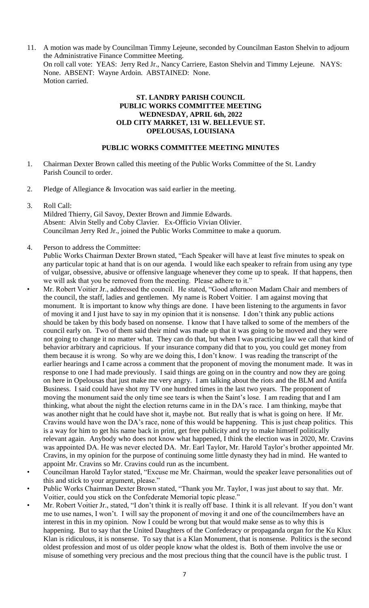11. A motion was made by Councilman Timmy Lejeune, seconded by Councilman Easton Shelvin to adjourn the Administrative Finance Committee Meeting. On roll call vote: YEAS: Jerry Red Jr., Nancy Carriere, Easton Shelvin and Timmy Lejeune. NAYS: None. ABSENT: Wayne Ardoin. ABSTAINED: None. Motion carried.

# **ST. LANDRY PARISH COUNCIL PUBLIC WORKS COMMITTEE MEETING WEDNESDAY, APRIL 6th, 2022 OLD CITY MARKET, 131 W. BELLEVUE ST. OPELOUSAS, LOUISIANA**

#### **PUBLIC WORKS COMMITTEE MEETING MINUTES**

- 1. Chairman Dexter Brown called this meeting of the Public Works Committee of the St. Landry Parish Council to order.
- 2. Pledge of Allegiance & Invocation was said earlier in the meeting.
- 3. Roll Call:

Mildred Thierry, Gil Savoy, Dexter Brown and Jimmie Edwards. Absent: Alvin Stelly and Coby Clavier. Ex-Officio Vivian Olivier. Councilman Jerry Red Jr., joined the Public Works Committee to make a quorum.

4. Person to address the Committee:

Public Works Chairman Dexter Brown stated, "Each Speaker will have at least five minutes to speak on any particular topic at hand that is on our agenda. I would like each speaker to refrain from using any type of vulgar, obsessive, abusive or offensive language whenever they come up to speak. If that happens, then we will ask that you be removed from the meeting. Please adhere to it."

- Mr. Robert Voitier Jr., addressed the council. He stated, "Good afternoon Madam Chair and members of the council, the staff, ladies and gentlemen. My name is Robert Voitier. I am against moving that monument. It is important to know why things are done. I have been listening to the arguments in favor of moving it and I just have to say in my opinion that it is nonsense. I don't think any public actions should be taken by this body based on nonsense. I know that I have talked to some of the members of the council early on. Two of them said their mind was made up that it was going to be moved and they were not going to change it no matter what. They can do that, but when I was practicing law we call that kind of behavior arbitrary and capricious. If your insurance company did that to you, you could get money from them because it is wrong. So why are we doing this, I don't know. I was reading the transcript of the earlier hearings and I came across a comment that the proponent of moving the monument made. It was in response to one I had made previously. I said things are going on in the country and now they are going on here in Opelousas that just make me very angry. I am talking about the riots and the BLM and Antifa Business. I said could have shot my TV one hundred times in the last two years. The proponent of moving the monument said the only time see tears is when the Saint's lose. I am reading that and I am thinking, what about the night the election returns came in in the DA's race. I am thinking, maybe that was another night that he could have shot it, maybe not. But really that is what is going on here. If Mr. Cravins would have won the DA's race, none of this would be happening. This is just cheap politics. This is a way for him to get his name back in print, get free publicity and try to make himself politically relevant again. Anybody who does not know what happened, I think the election was in 2020, Mr. Cravins was appointed DA. He was never elected DA. Mr. Earl Taylor, Mr. Harold Taylor's brother appointed Mr. Cravins, in my opinion for the purpose of continuing some little dynasty they had in mind. He wanted to appoint Mr. Cravins so Mr. Cravins could run as the incumbent.
- Councilman Harold Taylor stated, "Excuse me Mr. Chairman, would the speaker leave personalities out of this and stick to your argument, please."
- Public Works Chairman Dexter Brown stated, "Thank you Mr. Taylor, I was just about to say that. Mr. Voitier, could you stick on the Confederate Memorial topic please."
- Mr. Robert Voitier Jr., stated, "I don't think it is really off base. I think it is all relevant. If you don't want me to use names, I won't. I will say the proponent of moving it and one of the councilmembers have an interest in this in my opinion. Now I could be wrong but that would make sense as to why this is happening. But to say that the United Daughters of the Confederacy or propaganda organ for the Ku Klux Klan is ridiculous, it is nonsense. To say that is a Klan Monument, that is nonsense. Politics is the second oldest profession and most of us older people know what the oldest is. Both of them involve the use or misuse of something very precious and the most precious thing that the council have is the public trust. I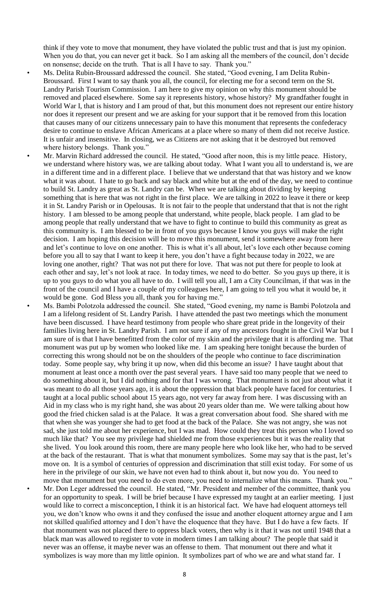think if they vote to move that monument, they have violated the public trust and that is just my opinion. When you do that, you can never get it back. So I am asking all the members of the council, don't decide on nonsense; decide on the truth. That is all I have to say. Thank you."

Ms. Delita Rubin-Broussard addressed the council. She stated, "Good evening, I am Delita Rubin-Broussard. First I want to say thank you all, the council, for electing me for a second term on the St. Landry Parish Tourism Commission. I am here to give my opinion on why this monument should be removed and placed elsewhere. Some say it represents history, whose history? My grandfather fought in World War I, that is history and I am proud of that, but this monument does not represent our entire history nor does it represent our present and we are asking for your support that it be removed from this location that causes many of our citizens unnecessary pain to have this monument that represents the confederacy desire to continue to enslave African Americans at a place where so many of them did not receive Justice. It is unfair and insensitive. In closing, we as Citizens are not asking that it be destroyed but removed where history belongs. Thank you."

• Mr. Marvin Richard addressed the council. He stated, "Good after noon, this is my little peace. History, we understand where history was, we are talking about today. What I want you all to understand is, we are in a different time and in a different place. I believe that we understand that that was history and we know what it was about. I hate to go back and say black and white but at the end of the day, we need to continue to build St. Landry as great as St. Landry can be. When we are talking about dividing by keeping something that is here that was not right in the first place. We are talking in 2022 to leave it there or keep it in St. Landry Parish or in Opelousas. It is not fair to the people that understand that that is not the right history. I am blessed to be among people that understand, white people, black people. I am glad to be among people that really understand that we have to fight to continue to build this community as great as this community is. I am blessed to be in front of you guys because I know you guys will make the right decision. I am hoping this decision will be to move this monument, send it somewhere away from here and let's continue to love on one another. This is what it's all about, let's love each other because coming before you all to say that I want to keep it here, you don't have a fight because today in 2022, we are loving one another, right? That was not put there for love. That was not put there for people to look at each other and say, let's not look at race. In today times, we need to do better. So you guys up there, it is up to you guys to do what you all have to do. I will tell you all, I am a City Councilman, if that was in the front of the council and I have a couple of my colleagues here, I am going to tell you what it would be, it would be gone. God Bless you all, thank you for having me."

• Ms. Bambi Polotzola addressed the council. She stated, "Good evening, my name is Bambi Polotzola and I am a lifelong resident of St. Landry Parish. I have attended the past two meetings which the monument have been discussed. I have heard testimony from people who share great pride in the longevity of their families living here in St. Landry Parish. I am not sure if any of my ancestors fought in the Civil War but I am sure of is that I have benefitted from the color of my skin and the privilege that it is affording me. That monument was put up by women who looked like me. I am speaking here tonight because the burden of correcting this wrong should not be on the shoulders of the people who continue to face discrimination today. Some people say, why bring it up now, when did this become an issue? I have taught about that monument at least once a month over the past several years. I have said too many people that we need to do something about it, but I did nothing and for that I was wrong. That monument is not just about what it was meant to do all those years ago, it is about the oppression that black people have faced for centuries. I taught at a local public school about 15 years ago, not very far away from here. I was discussing with an Aid in my class who is my right hand, she was about 20 years older than me. We were talking about how good the fried chicken salad is at the Palace. It was a great conversation about food. She shared with me that when she was younger she had to get food at the back of the Palace. She was not angry, she was not sad, she just told me about her experience, but I was mad. How could they treat this person who I loved so much like that? You see my privilege had shielded me from those experiences but it was the reality that she lived. You look around this room, there are many people here who look like her, who had to be served at the back of the restaurant. That is what that monument symbolizes. Some may say that is the past, let's move on. It is a symbol of centuries of oppression and discrimination that still exist today. For some of us here in the privilege of our skin, we have not even had to think about it, but now you do. You need to move that monument but you need to do even more, you need to internalize what this means. Thank you." • Mr. Don Leger addressed the council. He stated, "Mr. President and member of the committee, thank you for an opportunity to speak. I will be brief because I have expressed my taught at an earlier meeting. I just would like to correct a misconception, I think it is an historical fact. We have had eloquent attorneys tell you, we don't know who owns it and they confused the issue and another eloquent attorney argue and I am not skilled qualified attorney and I don't have the eloquence that they have. But I do have a few facts. If that monument was not placed there to oppress black voters, then why is it that it was not until 1948 that a black man was allowed to register to vote in modern times I am talking about? The people that said it never was an offense, it maybe never was an offense to them. That monument out there and what it symbolizes is way more than my little opinion. It symbolizes part of who we are and what stand far. I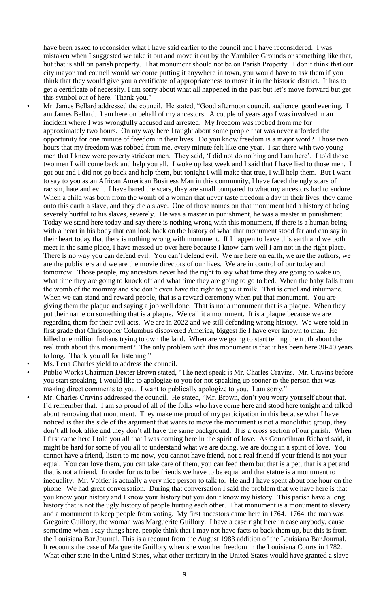have been asked to reconsider what I have said earlier to the council and I have reconsidered. I was mistaken when I suggested we take it out and move it out by the Yambilee Grounds or something like that, but that is still on parish property. That monument should not be on Parish Property. I don't think that our city mayor and council would welcome putting it anywhere in town, you would have to ask them if you think that they would give you a certificate of appropriateness to move it in the historic district. It has to get a certificate of necessity. I am sorry about what all happened in the past but let's move forward but get this symbol out of here. Thank you."

• Mr. James Bellard addressed the council. He stated, "Good afternoon council, audience, good evening. I am James Bellard. I am here on behalf of my ancestors. A couple of years ago I was involved in an incident where I was wrongfully accused and arrested. My freedom was robbed from me for approximately two hours. On my way here I taught about some people that was never afforded the opportunity for one minute of freedom in their lives. Do you know freedom is a major word? Those two hours that my freedom was robbed from me, every minute felt like one year. I sat there with two young men that I knew were poverty stricken men. They said, 'I did not do nothing and I am here'. I told those two men I will come back and help you all. I woke up last week and I said that I have lied to those men. I got out and I did not go back and help them, but tonight I will make that true, I will help them. But I want to say to you as an African American Business Man in this community, I have faced the ugly scars of racism, hate and evil. I have bared the scars, they are small compared to what my ancestors had to endure. When a child was born from the womb of a woman that never taste freedom a day in their lives, they came onto this earth a slave, and they die a slave. One of those names on that monument had a history of being severely hurtful to his slaves, severely. He was a master in punishment, he was a master in punishment. Today we stand here today and say there is nothing wrong with this monument, if there is a human being with a heart in his body that can look back on the history of what that monument stood far and can say in their heart today that there is nothing wrong with monument. If I happen to leave this earth and we both meet in the same place, I have messed up over here because I know darn well I am not in the right place. There is no way you can defend evil. You can't defend evil. We are here on earth, we are the authors, we are the publishers and we are the movie directors of our lives. We are in control of our today and tomorrow. Those people, my ancestors never had the right to say what time they are going to wake up, what time they are going to knock off and what time they are going to go to bed. When the baby falls from the womb of the mommy and she don't even have the right to give it milk. That is cruel and inhumane. When we can stand and reward people, that is a reward ceremony when put that monument. You are giving them the plaque and saying a job well done. That is not a monument that is a plaque. When they put their name on something that is a plaque. We call it a monument. It is a plaque because we are regarding them for their evil acts. We are in 2022 and we still defending wrong history. We were told in first grade that Christopher Columbus discovered America, biggest lie I have ever known to man. He killed one million Indians trying to own the land. When are we going to start telling the truth about the real truth about this monument? The only problem with this monument is that it has been here 30-40 years to long. Thank you all for listening."

- Ms. Lena Charles yield to address the council.
- Public Works Chairman Dexter Brown stated, "The next speak is Mr. Charles Cravins. Mr. Cravins before you start speaking, I would like to apologize to you for not speaking up sooner to the person that was making direct comments to you. I want to publically apologize to you. I am sorry."
- Mr. Charles Cravins addressed the council. He stated, "Mr. Brown, don't you worry yourself about that. I'd remember that. I am so proud of all of the folks who have come here and stood here tonight and talked about removing that monument. They make me proud of my participation in this because what I have noticed is that the side of the argument that wants to move the monument is not a monolithic group, they don't all look alike and they don't all have the same background. It is a cross section of our parish. When I first came here I told you all that I was coming here in the spirit of love. As Councilman Richard said, it might be hard for some of you all to understand what we are doing, we are doing in a spirit of love. You cannot have a friend, listen to me now, you cannot have friend, not a real friend if your friend is not your equal. You can love them, you can take care of them, you can feed them but that is a pet, that is a pet and that is not a friend. In order for us to be friends we have to be equal and that statue is a monument to inequality. Mr. Voitier is actually a very nice person to talk to. He and I have spent about one hour on the phone. We had great conversation. During that conversation I said the problem that we have here is that you know your history and I know your history but you don't know my history. This parish have a long history that is not the ugly history of people hurting each other. That monument is a monument to slavery and a monument to keep people from voting. My first ancestors came here in 1764. 1764, the man was Gregoire Guillory, the woman was Marguerite Guillory. I have a case right here in case anybody, cause sometime when I say things here, people think that I may not have facts to back them up, but this is from the Louisiana Bar Journal. This is a recount from the August 1983 addition of the Louisiana Bar Journal. It recounts the case of Marguerite Guillory when she won her freedom in the Louisiana Courts in 1782. What other state in the United States, what other territory in the United States would have granted a slave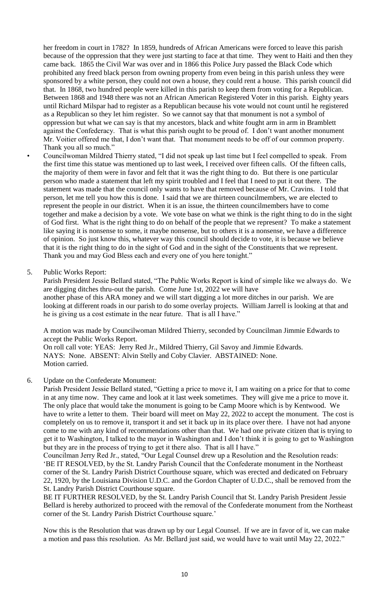her freedom in court in 1782? In 1859, hundreds of African Americans were forced to leave this parish because of the oppression that they were just starting to face at that time. They went to Haiti and then they came back. 1865 the Civil War was over and in 1866 this Police Jury passed the Black Code which prohibited any freed black person from owning property from even being in this parish unless they were sponsored by a white person, they could not own a house, they could rent a house. This parish council did that. In 1868, two hundred people were killed in this parish to keep them from voting for a Republican. Between 1868 and 1948 there was not an African American Registered Voter in this parish. Eighty years until Richard Milspar had to register as a Republican because his vote would not count until he registered as a Republican so they let him register. So we cannot say that that monument is not a symbol of oppression but what we can say is that my ancestors, black and white fought arm in arm in Bramblett against the Confederacy. That is what this parish ought to be proud of. I don't want another monument Mr. Voitier offered me that, I don't want that. That monument needs to be off of our common property. Thank you all so much."

• Councilwoman Mildred Thierry stated, "I did not speak up last time but I feel compelled to speak. From the first time this statue was mentioned up to last week, I received over fifteen calls. Of the fifteen calls, the majority of them were in favor and felt that it was the right thing to do. But there is one particular person who made a statement that left my spirit troubled and I feel that I need to put it out there. The statement was made that the council only wants to have that removed because of Mr. Cravins. I told that person, let me tell you how this is done. I said that we are thirteen councilmembers, we are elected to represent the people in our district. When it is an issue, the thirteen councilmembers have to come together and make a decision by a vote. We vote base on what we think is the right thing to do in the sight of God first. What is the right thing to do on behalf of the people that we represent? To make a statement like saying it is nonsense to some, it maybe nonsense, but to others it is a nonsense, we have a difference of opinion. So just know this, whatever way this council should decide to vote, it is because we believe that it is the right thing to do in the sight of God and in the sight of the Constituents that we represent. Thank you and may God Bless each and every one of you here tonight."

5. Public Works Report:

Parish President Jessie Bellard stated, "The Public Works Report is kind of simple like we always do. We are digging ditches thru-out the parish. Come June 1st, 2022 we will have another phase of this ARA money and we will start digging a lot more ditches in our parish. We are looking at different roads in our parish to do some overlay projects. William Jarrell is looking at that and he is giving us a cost estimate in the near future. That is all I have."

A motion was made by Councilwoman Mildred Thierry, seconded by Councilman Jimmie Edwards to accept the Public Works Report.

On roll call vote: YEAS: Jerry Red Jr., Mildred Thierry, Gil Savoy and Jimmie Edwards. NAYS: None. ABSENT: Alvin Stelly and Coby Clavier. ABSTAINED: None. Motion carried.

6. Update on the Confederate Monument:

Parish President Jessie Bellard stated, "Getting a price to move it, I am waiting on a price for that to come in at any time now. They came and look at it last week sometimes. They will give me a price to move it. The only place that would take the monument is going to be Camp Moore which is by Kentwood. We have to write a letter to them. Their board will meet on May 22, 2022 to accept the monument. The cost is completely on us to remove it, transport it and set it back up in its place over there. I have not had anyone come to me with any kind of recommendations other than that. We had one private citizen that is trying to get it to Washington, I talked to the mayor in Washington and I don't think it is going to get to Washington but they are in the process of trying to get it there also. That is all I have."

Councilman Jerry Red Jr., stated, "Our Legal Counsel drew up a Resolution and the Resolution reads: 'BE IT RESOLVED, by the St. Landry Parish Council that the Confederate monument in the Northeast corner of the St. Landry Parish District Courthouse square, which was erected and dedicated on February 22, 1920, by the Louisiana Division U.D.C. and the Gordon Chapter of U.D.C., shall be removed from the St. Landry Parish District Courthouse square.

BE IT FURTHER RESOLVED, by the St. Landry Parish Council that St. Landry Parish President Jessie Bellard is hereby authorized to proceed with the removal of the Confederate monument from the Northeast corner of the St. Landry Parish District Courthouse square.'

Now this is the Resolution that was drawn up by our Legal Counsel. If we are in favor of it, we can make a motion and pass this resolution. As Mr. Bellard just said, we would have to wait until May 22, 2022."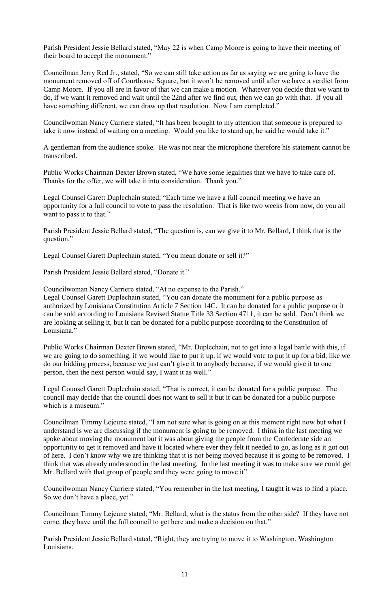Parish President Jessie Bellard stated, "May 22 is when Camp Moore is going to have their meeting of their board to accept the monument."

Councilman Jerry Red Jr., stated, "So we can still take action as far as saying we are going to have the monument removed off of Courthouse Square, but it won't be removed until after we have a verdict from Camp Moore. If you all are in favor of that we can make a motion. Whatever you decide that we want to do, if we want it removed and wait until the 22nd after we find out, then we can go with that. If you all have something different, we can draw up that resolution. Now I am completed."

Councilwoman Nancy Carriere stated, "It has been brought to my attention that someone is prepared to take it now instead of waiting on a meeting. Would you like to stand up, he said he would take it."

A gentleman from the audience spoke. He was not near the microphone therefore his statement cannot be transcribed.

Public Works Chairman Dexter Brown stated, "We have some legalities that we have to take care of. Thanks for the offer, we will take it into consideration. Thank you."

Legal Counsel Garett Duplechain stated, "Each time we have a full council meeting we have an opportunity for a full council to vote to pass the resolution. That is like two weeks from now, do you all want to pass it to that."

Parish President Jessie Bellard stated, "The question is, can we give it to Mr. Bellard, I think that is the question."

Legal Counsel Garett Duplechain stated, "You mean donate or sell it?"

Parish President Jessie Bellard stated, "Donate it."

Councilwoman Nancy Carriere stated, "At no expense to the Parish."

Legal Counsel Garett Duplechain stated, "You can donate the monument for a public purpose as authorized by Louisiana Constitution Article 7 Section 14C. It can be donated for a public purpose or it can be sold according to Louisiana Revised Statue Title 33 Section 4711, it can be sold. Don't think we are looking at selling it, but it can be donated for a public purpose according to the Constitution of Louisiana."

Public Works Chairman Dexter Brown stated, "Mr. Duplechain, not to get into a legal battle with this, if we are going to do something, if we would like to put it up, if we would vote to put it up for a bid, like we do our bidding process, because we just can't give it to anybody because, if we would give it to one person, then the next person would say, I want it as well."

Legal Counsel Garett Duplechain stated, "That is correct, it can be donated for a public purpose. The council may decide that the council does not want to sell it but it can be donated for a public purpose which is a museum."

Councilman Timmy Lejeune stated, "I am not sure what is going on at this moment right now but what I understand is we are discussing if the monument is going to be removed. I think in the last meeting we spoke about moving the monument but it was about giving the people from the Confederate side an opportunity to get it removed and have it located where ever they felt it needed to go, as long as it got out of here. I don't know why we are thinking that it is not being moved because it is going to be removed. I think that was already understood in the last meeting. In the last meeting it was to make sure we could get Mr. Bellard with that group of people and they were going to move it"

Councilwoman Nancy Carriere stated, "You remember in the last meeting, I taught it was to find a place. So we don't have a place, yet."

Councilman Timmy Lejeune stated, "Mr. Bellard, what is the status from the other side? If they have not come, they have until the full council to get here and make a decision on that."

Parish President Jessie Bellard stated, "Right, they are trying to move it to Washington. Washington Louisiana.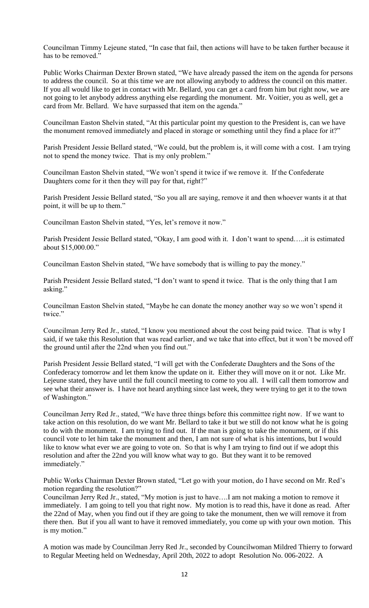Councilman Timmy Lejeune stated, "In case that fail, then actions will have to be taken further because it has to be removed."

Public Works Chairman Dexter Brown stated, "We have already passed the item on the agenda for persons to address the council. So at this time we are not allowing anybody to address the council on this matter. If you all would like to get in contact with Mr. Bellard, you can get a card from him but right now, we are not going to let anybody address anything else regarding the monument. Mr. Voitier, you as well, get a card from Mr. Bellard. We have surpassed that item on the agenda."

Councilman Easton Shelvin stated, "At this particular point my question to the President is, can we have the monument removed immediately and placed in storage or something until they find a place for it?"

Parish President Jessie Bellard stated, "We could, but the problem is, it will come with a cost. I am trying not to spend the money twice. That is my only problem."

Councilman Easton Shelvin stated, "We won't spend it twice if we remove it. If the Confederate Daughters come for it then they will pay for that, right?"

Parish President Jessie Bellard stated, "So you all are saying, remove it and then whoever wants it at that point, it will be up to them."

Councilman Easton Shelvin stated, "Yes, let's remove it now."

Parish President Jessie Bellard stated, "Okay, I am good with it. I don't want to spend…..it is estimated about \$15,000.00."

Councilman Easton Shelvin stated, "We have somebody that is willing to pay the money."

Parish President Jessie Bellard stated, "I don't want to spend it twice. That is the only thing that I am asking."

Councilman Easton Shelvin stated, "Maybe he can donate the money another way so we won't spend it twice."

Councilman Jerry Red Jr., stated, "I know you mentioned about the cost being paid twice. That is why I said, if we take this Resolution that was read earlier, and we take that into effect, but it won't be moved off the ground until after the 22nd when you find out."

Parish President Jessie Bellard stated, "I will get with the Confederate Daughters and the Sons of the Confederacy tomorrow and let them know the update on it. Either they will move on it or not. Like Mr. Lejeune stated, they have until the full council meeting to come to you all. I will call them tomorrow and see what their answer is. I have not heard anything since last week, they were trying to get it to the town of Washington."

Councilman Jerry Red Jr., stated, "We have three things before this committee right now. If we want to take action on this resolution, do we want Mr. Bellard to take it but we still do not know what he is going to do with the monument. I am trying to find out. If the man is going to take the monument, or if this council vote to let him take the monument and then, I am not sure of what is his intentions, but I would like to know what ever we are going to vote on. So that is why I am trying to find out if we adopt this resolution and after the 22nd you will know what way to go. But they want it to be removed immediately."

Public Works Chairman Dexter Brown stated, "Let go with your motion, do I have second on Mr. Red's motion regarding the resolution?"

Councilman Jerry Red Jr., stated, "My motion is just to have….I am not making a motion to remove it immediately. I am going to tell you that right now. My motion is to read this, have it done as read. After the 22nd of May, when you find out if they are going to take the monument, then we will remove it from there then. But if you all want to have it removed immediately, you come up with your own motion. This is my motion."

A motion was made by Councilman Jerry Red Jr., seconded by Councilwoman Mildred Thierry to forward to Regular Meeting held on Wednesday, April 20th, 2022 to adopt Resolution No. 006-2022. A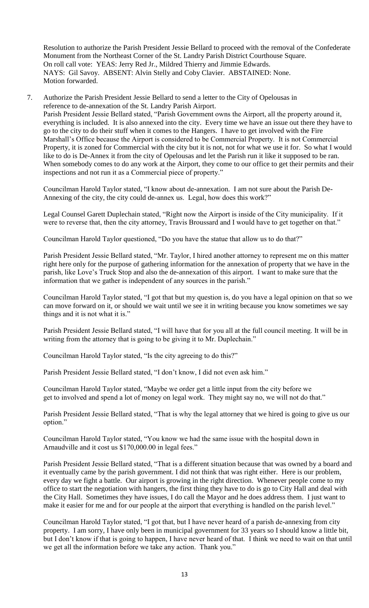Resolution to authorize the Parish President Jessie Bellard to proceed with the removal of the Confederate Monument from the Northeast Corner of the St. Landry Parish District Courthouse Square. On roll call vote: YEAS: Jerry Red Jr., Mildred Thierry and Jimmie Edwards. NAYS: Gil Savoy. ABSENT: Alvin Stelly and Coby Clavier. ABSTAINED: None. Motion forwarded.

7. Authorize the Parish President Jessie Bellard to send a letter to the City of Opelousas in reference to de-annexation of the St. Landry Parish Airport. Parish President Jessie Bellard stated, "Parish Government owns the Airport, all the property around it, everything is included. It is also annexed into the city. Every time we have an issue out there they have to go to the city to do their stuff when it comes to the Hangers. I have to get involved with the Fire Marshall's Office because the Airport is considered to be Commercial Property. It is not Commercial Property, it is zoned for Commercial with the city but it is not, not for what we use it for. So what I would like to do is De-Annex it from the city of Opelousas and let the Parish run it like it supposed to be ran. When somebody comes to do any work at the Airport, they come to our office to get their permits and their inspections and not run it as a Commercial piece of property."

Councilman Harold Taylor stated, "I know about de-annexation. I am not sure about the Parish De-Annexing of the city, the city could de-annex us. Legal, how does this work?"

Legal Counsel Garett Duplechain stated, "Right now the Airport is inside of the City municipality. If it were to reverse that, then the city attorney, Travis Broussard and I would have to get together on that."

Councilman Harold Taylor questioned, "Do you have the statue that allow us to do that?"

Parish President Jessie Bellard stated, "Mr. Taylor, I hired another attorney to represent me on this matter right here only for the purpose of gathering information for the annexation of property that we have in the parish, like Love's Truck Stop and also the de-annexation of this airport. I want to make sure that the information that we gather is independent of any sources in the parish."

Councilman Harold Taylor stated, "I got that but my question is, do you have a legal opinion on that so we can move forward on it, or should we wait until we see it in writing because you know sometimes we say things and it is not what it is."

Parish President Jessie Bellard stated, "I will have that for you all at the full council meeting. It will be in writing from the attorney that is going to be giving it to Mr. Duplechain."

Councilman Harold Taylor stated, "Is the city agreeing to do this?"

Parish President Jessie Bellard stated, "I don't know, I did not even ask him."

Councilman Harold Taylor stated, "Maybe we order get a little input from the city before we get to involved and spend a lot of money on legal work. They might say no, we will not do that."

Parish President Jessie Bellard stated, "That is why the legal attorney that we hired is going to give us our option."

Councilman Harold Taylor stated, "You know we had the same issue with the hospital down in Arnaudville and it cost us \$170,000.00 in legal fees."

Parish President Jessie Bellard stated, "That is a different situation because that was owned by a board and it eventually came by the parish government. I did not think that was right either. Here is our problem, every day we fight a battle. Our airport is growing in the right direction. Whenever people come to my office to start the negotiation with hangers, the first thing they have to do is go to City Hall and deal with the City Hall. Sometimes they have issues, I do call the Mayor and he does address them. I just want to make it easier for me and for our people at the airport that everything is handled on the parish level."

Councilman Harold Taylor stated, "I got that, but I have never heard of a parish de-annexing from city property. I am sorry, I have only been in municipal government for 33 years so I should know a little bit, but I don't know if that is going to happen, I have never heard of that. I think we need to wait on that until we get all the information before we take any action. Thank you."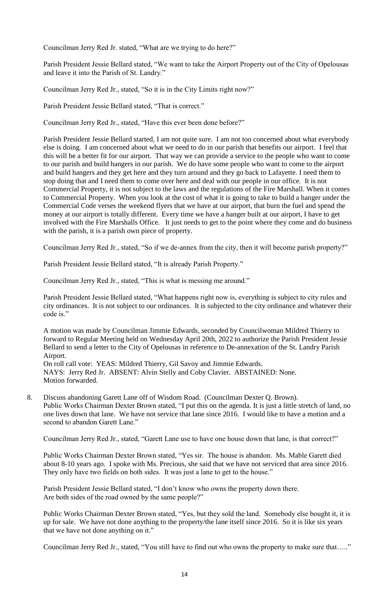Councilman Jerry Red Jr. stated, "What are we trying to do here?"

Parish President Jessie Bellard stated, "We want to take the Airport Property out of the City of Opelousas and leave it into the Parish of St. Landry."

Councilman Jerry Red Jr., stated, "So it is in the City Limits right now?"

Parish President Jessie Bellard stated, "That is correct."

Councilman Jerry Red Jr., stated, "Have this ever been done before?"

Parish President Jessie Bellard started, I am not quite sure. I am not too concerned about what everybody else is doing. I am concerned about what we need to do in our parish that benefits our airport. I feel that this will be a better fit for our airport. That way we can provide a service to the people who want to come to our parish and build hangers in our parish. We do have some people who want to come to the airport and build hangers and they get here and they turn around and they go back to Lafayette. I need them to stop doing that and I need them to come over here and deal with our people in our office. It is not Commercial Property, it is not subject to the laws and the regulations of the Fire Marshall. When it comes to Commercial Property. When you look at the cost of what it is going to take to build a hanger under the Commercial Code verses the weekend flyers that we have at our airport, that burn the fuel and spend the money at our airport is totally different. Every time we have a hanger built at our airport, I have to get involved with the Fire Marshalls Office. It just needs to get to the point where they come and do business with the parish, it is a parish own piece of property.

Councilman Jerry Red Jr., stated, "So if we de-annex from the city, then it will become parish property?"

Parish President Jessie Bellard stated, "It is already Parish Property."

Councilman Jerry Red Jr., stated, "This is what is messing me around."

Parish President Jessie Bellard stated, "What happens right now is, everything is subject to city rules and city ordinances. It is not subject to our ordinances. It is subjected to the city ordinance and whatever their code is."

A motion was made by Councilman Jimmie Edwards, seconded by Councilwoman Mildred Thierry to forward to Regular Meeting held on Wednesday April 20th, 2022 to authorize the Parish President Jessie Bellard to send a letter to the City of Opelousas in reference to De-annexation of the St. Landry Parish Airport.

On roll call vote: YEAS: Mildred Thierry, Gil Savoy and Jimmie Edwards. NAYS: Jerry Red Jr. ABSENT: Alvin Stelly and Coby Clavier. ABSTAINED: None. Motion forwarded.

8. Discuss abandoning Garett Lane off of Wisdom Road. (Councilman Dexter Q. Brown). Public Works Chairman Dexter Brown stated, "I put this on the agenda. It is just a little stretch of land, no one lives down that lane. We have not service that lane since 2016. I would like to have a motion and a second to abandon Garett Lane."

Councilman Jerry Red Jr., stated, "Garett Lane use to have one house down that lane, is that correct?"

Public Works Chairman Dexter Brown stated, "Yes sir. The house is abandon. Ms. Mable Garett died about 8-10 years ago. I spoke with Ms. Precious, she said that we have not serviced that area since 2016. They only have two fields on both sides. It was just a lane to get to the house."

Parish President Jessie Bellard stated, "I don't know who owns the property down there. Are both sides of the road owned by the same people?"

Public Works Chairman Dexter Brown stated, "Yes, but they sold the land. Somebody else bought it, it is up for sale. We have not done anything to the property/the lane itself since 2016. So it is like six years that we have not done anything on it."

Councilman Jerry Red Jr., stated, "You still have to find out who owns the property to make sure that….."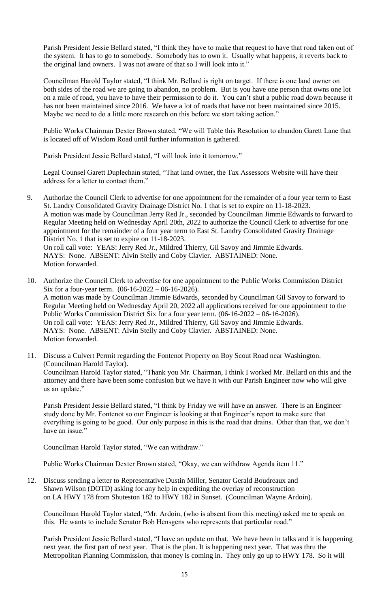Parish President Jessie Bellard stated, "I think they have to make that request to have that road taken out of the system. It has to go to somebody. Somebody has to own it. Usually what happens, it reverts back to the original land owners. I was not aware of that so I will look into it."

Councilman Harold Taylor stated, "I think Mr. Bellard is right on target. If there is one land owner on both sides of the road we are going to abandon, no problem. But is you have one person that owns one lot on a mile of road, you have to have their permission to do it. You can't shut a public road down because it has not been maintained since 2016. We have a lot of roads that have not been maintained since 2015. Maybe we need to do a little more research on this before we start taking action."

Public Works Chairman Dexter Brown stated, "We will Table this Resolution to abandon Garett Lane that is located off of Wisdom Road until further information is gathered.

Parish President Jessie Bellard stated, "I will look into it tomorrow."

Legal Counsel Garett Duplechain stated, "That land owner, the Tax Assessors Website will have their address for a letter to contact them."

- 9. Authorize the Council Clerk to advertise for one appointment for the remainder of a four year term to East St. Landry Consolidated Gravity Drainage District No. 1 that is set to expire on 11-18-2023. A motion was made by Councilman Jerry Red Jr., seconded by Councilman Jimmie Edwards to forward to Regular Meeting held on Wednesday April 20th, 2022 to authorize the Council Clerk to advertise for one appointment for the remainder of a four year term to East St. Landry Consolidated Gravity Drainage District No. 1 that is set to expire on 11-18-2023. On roll call vote: YEAS: Jerry Red Jr., Mildred Thierry, Gil Savoy and Jimmie Edwards. NAYS: None. ABSENT: Alvin Stelly and Coby Clavier. ABSTAINED: None. Motion forwarded.
- 10. Authorize the Council Clerk to advertise for one appointment to the Public Works Commission District Six for a four-year term. (06-16-2022 – 06-16-2026). A motion was made by Councilman Jimmie Edwards, seconded by Councilman Gil Savoy to forward to Regular Meeting held on Wednesday April 20, 2022 all applications received for one appointment to the Public Works Commission District Six for a four year term. (06-16-2022 – 06-16-2026). On roll call vote: YEAS: Jerry Red Jr., Mildred Thierry, Gil Savoy and Jimmie Edwards. NAYS: None. ABSENT: Alvin Stelly and Coby Clavier. ABSTAINED: None. Motion forwarded.
- 11. Discuss a Culvert Permit regarding the Fontenot Property on Boy Scout Road near Washington. (Councilman Harold Taylor). Councilman Harold Taylor stated, "Thank you Mr. Chairman, I think I worked Mr. Bellard on this and the attorney and there have been some confusion but we have it with our Parish Engineer now who will give us an update."

Parish President Jessie Bellard stated, "I think by Friday we will have an answer. There is an Engineer study done by Mr. Fontenot so our Engineer is looking at that Engineer's report to make sure that everything is going to be good. Our only purpose in this is the road that drains. Other than that, we don't have an issue."

Councilman Harold Taylor stated, "We can withdraw."

Public Works Chairman Dexter Brown stated, "Okay, we can withdraw Agenda item 11."

12. Discuss sending a letter to Representative Dustin Miller, Senator Gerald Boudreaux and Shawn Wilson (DOTD) asking for any help in expediting the overlay of reconstruction on LA HWY 178 from Shuteston 182 to HWY 182 in Sunset. (Councilman Wayne Ardoin).

Councilman Harold Taylor stated, "Mr. Ardoin, (who is absent from this meeting) asked me to speak on this. He wants to include Senator Bob Hensgens who represents that particular road."

Parish President Jessie Bellard stated, "I have an update on that. We have been in talks and it is happening next year, the first part of next year. That is the plan. It is happening next year. That was thru the Metropolitan Planning Commission, that money is coming in. They only go up to HWY 178. So it will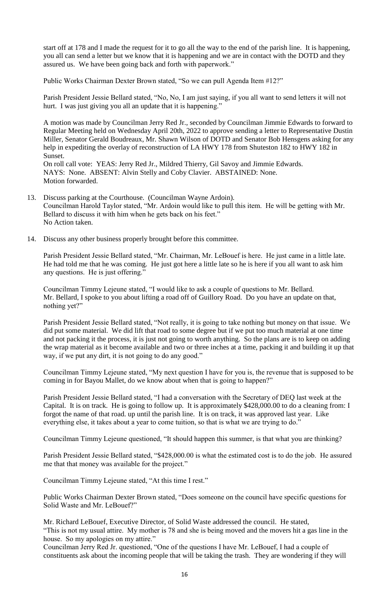start off at 178 and I made the request for it to go all the way to the end of the parish line. It is happening, you all can send a letter but we know that it is happening and we are in contact with the DOTD and they assured us. We have been going back and forth with paperwork."

Public Works Chairman Dexter Brown stated, "So we can pull Agenda Item #12?"

Parish President Jessie Bellard stated, "No, No, I am just saying, if you all want to send letters it will not hurt. I was just giving you all an update that it is happening."

A motion was made by Councilman Jerry Red Jr., seconded by Councilman Jimmie Edwards to forward to Regular Meeting held on Wednesday April 20th, 2022 to approve sending a letter to Representative Dustin Miller, Senator Gerald Boudreaux, Mr. Shawn Wilson of DOTD and Senator Bob Hensgens asking for any help in expediting the overlay of reconstruction of LA HWY 178 from Shuteston 182 to HWY 182 in Sunset.

On roll call vote: YEAS: Jerry Red Jr., Mildred Thierry, Gil Savoy and Jimmie Edwards. NAYS: None. ABSENT: Alvin Stelly and Coby Clavier. ABSTAINED: None. Motion forwarded.

- 13. Discuss parking at the Courthouse. (Councilman Wayne Ardoin). Councilman Harold Taylor stated, "Mr. Ardoin would like to pull this item. He will be getting with Mr. Bellard to discuss it with him when he gets back on his feet." No Action taken.
- 14. Discuss any other business properly brought before this committee.

Parish President Jessie Bellard stated, "Mr. Chairman, Mr. LeBouef is here. He just came in a little late. He had told me that he was coming. He just got here a little late so he is here if you all want to ask him any questions. He is just offering."

Councilman Timmy Lejeune stated, "I would like to ask a couple of questions to Mr. Bellard. Mr. Bellard, I spoke to you about lifting a road off of Guillory Road. Do you have an update on that, nothing yet?"

Parish President Jessie Bellard stated, "Not really, it is going to take nothing but money on that issue. We did put some material. We did lift that road to some degree but if we put too much material at one time and not packing it the process, it is just not going to worth anything. So the plans are is to keep on adding the wrap material as it become available and two or three inches at a time, packing it and building it up that way, if we put any dirt, it is not going to do any good."

Councilman Timmy Lejeune stated, "My next question I have for you is, the revenue that is supposed to be coming in for Bayou Mallet, do we know about when that is going to happen?"

Parish President Jessie Bellard stated, "I had a conversation with the Secretary of DEQ last week at the Capital. It is on track. He is going to follow up. It is approximately \$428,000.00 to do a cleaning from: I forgot the name of that road. up until the parish line. It is on track, it was approved last year. Like everything else, it takes about a year to come tuition, so that is what we are trying to do."

Councilman Timmy Lejeune questioned, "It should happen this summer, is that what you are thinking?

Parish President Jessie Bellard stated, "\$428,000.00 is what the estimated cost is to do the job. He assured me that that money was available for the project."

Councilman Timmy Lejeune stated, "At this time I rest."

Public Works Chairman Dexter Brown stated, "Does someone on the council have specific questions for Solid Waste and Mr. LeBouef?"

Mr. Richard LeBouef, Executive Director, of Solid Waste addressed the council. He stated,

"This is not my usual attire. My mother is 78 and she is being moved and the movers hit a gas line in the house. So my apologies on my attire."

Councilman Jerry Red Jr. questioned, "One of the questions I have Mr. LeBouef, I had a couple of constituents ask about the incoming people that will be taking the trash. They are wondering if they will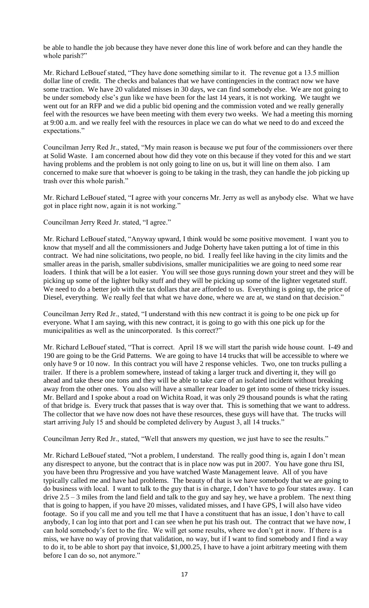be able to handle the job because they have never done this line of work before and can they handle the whole parish?"

Mr. Richard LeBouef stated, "They have done something similar to it. The revenue got a 13.5 million dollar line of credit. The checks and balances that we have contingencies in the contract now we have some traction. We have 20 validated misses in 30 days, we can find somebody else. We are not going to be under somebody else's gun like we have been for the last 14 years, it is not working. We taught we went out for an RFP and we did a public bid opening and the commission voted and we really generally feel with the resources we have been meeting with them every two weeks. We had a meeting this morning at 9:00 a.m. and we really feel with the resources in place we can do what we need to do and exceed the expectations."

Councilman Jerry Red Jr., stated, "My main reason is because we put four of the commissioners over there at Solid Waste. I am concerned about how did they vote on this because if they voted for this and we start having problems and the problem is not only going to line on us, but it will line on them also. I am concerned to make sure that whoever is going to be taking in the trash, they can handle the job picking up trash over this whole parish."

Mr. Richard LeBouef stated, "I agree with your concerns Mr. Jerry as well as anybody else. What we have got in place right now, again it is not working."

Councilman Jerry Reed Jr. stated, "I agree."

Mr. Richard LeBouef stated, "Anyway upward, I think would be some positive movement. I want you to know that myself and all the commissioners and Judge Doherty have taken putting a lot of time in this contract. We had nine solicitations, two people, no bid. I really feel like having in the city limits and the smaller areas in the parish, smaller subdivisions, smaller municipalities we are going to need some rear loaders. I think that will be a lot easier. You will see those guys running down your street and they will be picking up some of the lighter bulky stuff and they will be picking up some of the lighter vegetated stuff. We need to do a better job with the tax dollars that are afforded to us. Everything is going up, the price of Diesel, everything. We really feel that what we have done, where we are at, we stand on that decision."

Councilman Jerry Red Jr., stated, "I understand with this new contract it is going to be one pick up for everyone. What I am saying, with this new contract, it is going to go with this one pick up for the municipalities as well as the unincorporated. Is this correct?"

Mr. Richard LeBouef stated, "That is correct. April 18 we will start the parish wide house count. I-49 and 190 are going to be the Grid Patterns. We are going to have 14 trucks that will be accessible to where we only have 9 or 10 now. In this contract you will have 2 response vehicles. Two, one ton trucks pulling a trailer. If there is a problem somewhere, instead of taking a larger truck and diverting it, they will go ahead and take these one tons and they will be able to take care of an isolated incident without breaking away from the other ones. You also will have a smaller rear loader to get into some of these tricky issues. Mr. Bellard and I spoke about a road on Wichita Road, it was only 29 thousand pounds is what the rating of that bridge is. Every truck that passes that is way over that. This is something that we want to address. The collector that we have now does not have these resources, these guys will have that. The trucks will start arriving July 15 and should be completed delivery by August 3, all 14 trucks."

Councilman Jerry Red Jr., stated, "Well that answers my question, we just have to see the results."

Mr. Richard LeBouef stated, "Not a problem, I understand. The really good thing is, again I don't mean any disrespect to anyone, but the contract that is in place now was put in 2007. You have gone thru ISI, you have been thru Progressive and you have watched Waste Management leave. All of you have typically called me and have had problems. The beauty of that is we have somebody that we are going to do business with local. I want to talk to the guy that is in charge, I don't have to go four states away. I can drive 2.5 – 3 miles from the land field and talk to the guy and say hey, we have a problem. The next thing that is going to happen, if you have 20 misses, validated misses, and I have GPS, I will also have video footage. So if you call me and you tell me that I have a constituent that has an issue, I don't have to call anybody, I can log into that port and I can see when he put his trash out. The contract that we have now, I can hold somebody's feet to the fire. We will get some results, where we don't get it now. If there is a miss, we have no way of proving that validation, no way, but if I want to find somebody and I find a way to do it, to be able to short pay that invoice, \$1,000.25, I have to have a joint arbitrary meeting with them before I can do so, not anymore."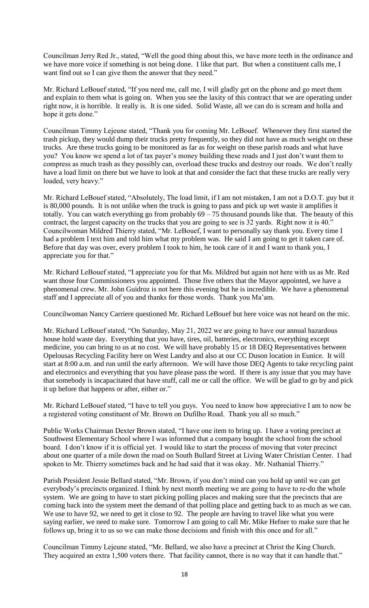Councilman Jerry Red Jr., stated, "Well the good thing about this, we have more teeth in the ordinance and we have more voice if something is not being done. I like that part. But when a constituent calls me, I want find out so I can give them the answer that they need."

Mr. Richard LeBouef stated, "If you need me, call me, I will gladly get on the phone and go meet them and explain to them what is going on. When you see the laxity of this contract that we are operating under right now, it is horrible. It really is. It is one sided. Solid Waste, all we can do is scream and holla and hope it gets done."

Councilman Timmy Lejeune stated, "Thank you for coming Mr. LeBouef. Whenever they first started the trash pickup, they would dump their trucks pretty frequently, so they did not have as much weight on these trucks. Are these trucks going to be monitored as far as for weight on these parish roads and what have you? You know we spend a lot of tax payer's money building these roads and I just don't want them to compress as much trash as they possibly can, overload these trucks and destroy our roads. We don't really have a load limit on there but we have to look at that and consider the fact that these trucks are really very loaded, very heavy."

Mr. Richard LeBouef stated, "Absolutely, The load limit, if I am not mistaken, I am not a D.O.T. guy but it is 80,000 pounds. It is not unlike when the truck is going to pass and pick up wet waste it amplifies it totally. You can watch everything go from probably  $69 - 75$  thousand pounds like that. The beauty of this contract, the largest capacity on the trucks that you are going to see is 32 yards. Right now it is 40." Councilwoman Mildred Thierry stated, "Mr. LeBouef, I want to personally say thank you. Every time I had a problem I text him and told him what my problem was. He said I am going to get it taken care of. Before that day was over, every problem I took to him, he took care of it and I want to thank you, I appreciate you for that."

Mr. Richard LeBouef stated, "I appreciate you for that Ms. Mildred but again not here with us as Mr. Red want those four Commissioners you appointed. Those five others that the Mayor appointed, we have a phenomenal crew. Mr. John Guidroz is not here this evening but he is incredible. We have a phenomenal staff and I appreciate all of you and thanks for those words. Thank you Ma'am.

Councilwoman Nancy Carriere questioned Mr. Richard LeBouef but here voice was not heard on the mic.

Mr. Richard LeBouef stated, "On Saturday, May 21, 2022 we are going to have our annual hazardous house hold waste day. Everything that you have, tires, oil, batteries, electronics, everything except medicine, you can bring to us at no cost. We will have probably 15 or 18 DEQ Representatives between Opelousas Recycling Facility here on West Landry and also at our CC Duson location in Eunice. It will start at 8:00 a.m. and run until the early afternoon. We will have those DEQ Agents to take recycling paint and electronics and everything that you have please pass the word. If there is any issue that you may have that somebody is incapacitated that have stuff, call me or call the office. We will be glad to go by and pick it up before that happens or after, either or."

Mr. Richard LeBouef stated, "I have to tell you guys. You need to know how appreciative I am to now be a registered voting constituent of Mr. Brown on Dufilho Road. Thank you all so much."

Public Works Chairman Dexter Brown stated, "I have one item to bring up. I have a voting precinct at Southwest Elementary School where I was informed that a company bought the school from the school board. I don't know if it is official yet. I would like to start the process of moving that voter precinct about one quarter of a mile down the road on South Bullard Street at Living Water Christian Center. I had spoken to Mr. Thierry sometimes back and he had said that it was okay. Mr. Nathanial Thierry."

Parish President Jessie Bellard stated, "Mr. Brown, if you don't mind can you hold up until we can get everybody's precincts organized. I think by next month meeting we are going to have to re-do the whole system. We are going to have to start picking polling places and making sure that the precincts that are coming back into the system meet the demand of that polling place and getting back to as much as we can. We use to have 92, we need to get it close to 92. The people are having to travel like what you were saying earlier, we need to make sure. Tomorrow I am going to call Mr. Mike Hefner to make sure that he follows up, bring it to us so we can make those decisions and finish with this once and for all."

Councilman Timmy Lejeune stated, "Mr. Bellard, we also have a precinct at Christ the King Church. They acquired an extra 1,500 voters there. That facility cannot, there is no way that it can handle that."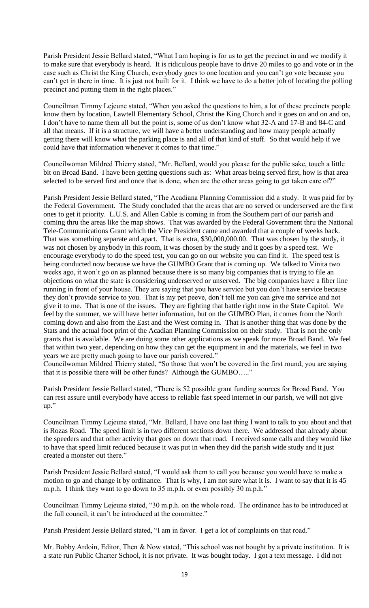Parish President Jessie Bellard stated, "What I am hoping is for us to get the precinct in and we modify it to make sure that everybody is heard. It is ridiculous people have to drive 20 miles to go and vote or in the case such as Christ the King Church, everybody goes to one location and you can't go vote because you can't get in there in time. It is just not built for it. I think we have to do a better job of locating the polling precinct and putting them in the right places."

Councilman Timmy Lejeune stated, "When you asked the questions to him, a lot of these precincts people know them by location, Lawtell Elementary School, Christ the King Church and it goes on and on and on, I don't have to name them all but the point is, some of us don't know what 32-A and 17-B and 84-C and all that means. If it is a structure, we will have a better understanding and how many people actually getting there will know what the parking place is and all of that kind of stuff. So that would help if we could have that information whenever it comes to that time."

Councilwoman Mildred Thierry stated, "Mr. Bellard, would you please for the public sake, touch a little bit on Broad Band. I have been getting questions such as: What areas being served first, how is that area selected to be served first and once that is done, when are the other areas going to get taken care of?"

Parish President Jessie Bellard stated, "The Acadiana Planning Commission did a study. It was paid for by the Federal Government. The Study concluded that the areas that are no served or underserved are the first ones to get it priority. L.U.S. and Allen Cable is coming in from the Southern part of our parish and coming thru the areas like the map shows. That was awarded by the Federal Government thru the National Tele-Communications Grant which the Vice President came and awarded that a couple of weeks back. That was something separate and apart. That is extra, \$30,000,000.00. That was chosen by the study, it was not chosen by anybody in this room, it was chosen by the study and it goes by a speed test. We encourage everybody to do the speed test, you can go on our website you can find it. The speed test is being conducted now because we have the GUMBO Grant that is coming up. We talked to Vinita two weeks ago, it won't go on as planned because there is so many big companies that is trying to file an objections on what the state is considering underserved or unserved. The big companies have a fiber line running in front of your house. They are saying that you have service but you don't have service because they don't provide service to you. That is my pet peeve, don't tell me you can give me service and not give it to me. That is one of the issues. They are fighting that battle right now in the State Capitol. We feel by the summer, we will have better information, but on the GUMBO Plan, it comes from the North coming down and also from the East and the West coming in. That is another thing that was done by the Stats and the actual foot print of the Acadian Planning Commission on their study. That is not the only grants that is available. We are doing some other applications as we speak for more Broad Band. We feel that within two year, depending on how they can get the equipment in and the materials, we feel in two years we are pretty much going to have our parish covered."

Councilwoman Mildred Thierry stated, "So those that won't be covered in the first round, you are saying that it is possible there will be other funds? Although the GUMBO….."

Parish President Jessie Bellard stated, "There is 52 possible grant funding sources for Broad Band. You can rest assure until everybody have access to reliable fast speed internet in our parish, we will not give up."

Councilman Timmy Lejeune stated, "Mr. Bellard, I have one last thing I want to talk to you about and that is Rozas Road. The speed limit is in two different sections down there. We addressed that already about the speeders and that other activity that goes on down that road. I received some calls and they would like to have that speed limit reduced because it was put in when they did the parish wide study and it just created a monster out there."

Parish President Jessie Bellard stated, "I would ask them to call you because you would have to make a motion to go and change it by ordinance. That is why, I am not sure what it is. I want to say that it is 45 m.p.h. I think they want to go down to 35 m.p.h. or even possibly 30 m.p.h."

Councilman Timmy Lejeune stated, "30 m.p.h. on the whole road. The ordinance has to be introduced at the full council, it can't be introduced at the committee."

Parish President Jessie Bellard stated, "I am in favor. I get a lot of complaints on that road."

Mr. Bobby Ardoin, Editor, Then & Now stated, "This school was not bought by a private institution. It is a state run Public Charter School, it is not private. It was bought today. I got a text message. I did not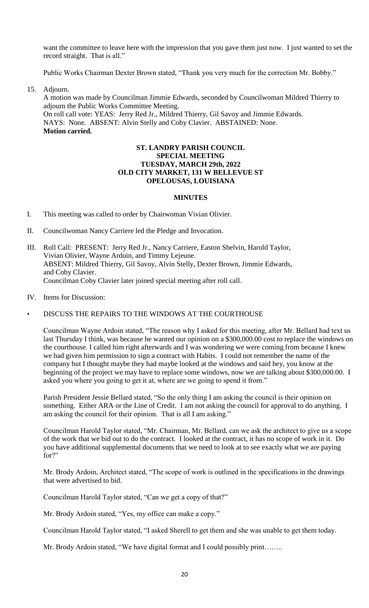want the committee to leave here with the impression that you gave them just now. I just wanted to set the record straight. That is all."

Public Works Chairman Dexter Brown stated, "Thank you very much for the correction Mr. Bobby."

15. Adjourn.

A motion was made by Councilman Jimmie Edwards, seconded by Councilwoman Mildred Thierry to adjourn the Public Works Committee Meeting. On roll call vote: YEAS: Jerry Red Jr., Mildred Thierry, Gil Savoy and Jimmie Edwards. NAYS: None. ABSENT: Alvin Stelly and Coby Clavier. ABSTAINED: None. **Motion carried.**

### **ST. LANDRY PARISH COUNCIL SPECIAL MEETING TUESDAY, MARCH 29th, 2022 OLD CITY MARKET, 131 W BELLEVUE ST OPELOUSAS, LOUISIANA**

# **MINUTES**

- I. This meeting was called to order by Chairwoman Vivian Olivier.
- II. Councilwoman Nancy Carriere led the Pledge and Invocation.
- III. Roll Call: PRESENT: Jerry Red Jr., Nancy Carriere, Easton Shelvin, Harold Taylor, Vivian Olivier, Wayne Ardoin, and Timmy Lejeune. ABSENT: Mildred Thierry, Gil Savoy, Alvin Stelly, Dexter Brown, Jimmie Edwards, and Coby Clavier. Councilman Coby Clavier later joined special meeting after roll call.
- IV. Items for Discussion:

# • DISCUSS THE REPAIRS TO THE WINDOWS AT THE COURTHOUSE

Councilman Wayne Ardoin stated, "The reason why I asked for this meeting, after Mr. Bellard had text us last Thursday I think, was because he wanted our opinion on a \$300,000.00 cost to replace the windows on the courthouse. I called him right afterwards and I was wondering we were coming from because I knew we had given him permission to sign a contract with Habits. I could not remember the name of the company but I thought maybe they had maybe looked at the windows and said hey, you know at the beginning of the project we may have to replace some windows, now we are talking about \$300,000.00. I asked you where you going to get it at, where are we going to spend it from."

Parish President Jessie Bellard stated, "So the only thing I am asking the council is their opinion on something. Either ARA or the Line of Credit. I am not asking the council for approval to do anything. I am asking the council for their opinion. That is all I am asking."

Councilman Harold Taylor stated, "Mr. Chairman, Mr. Bellard, can we ask the architect to give us a scope of the work that we bid out to do the contract. I looked at the contract, it has no scope of work in it. Do you have additional supplemental documents that we need to look at to see exactly what we are paying for?"

Mr. Brody Ardoin, Architect stated, "The scope of work is outlined in the specifications in the drawings that were advertised to bid.

Councilman Harold Taylor stated, "Can we get a copy of that?"

Mr. Brody Ardoin stated, "Yes, my office can make a copy."

Councilman Harold Taylor stated, "I asked Sherell to get them and she was unable to get them today.

Mr. Brody Ardoin stated, "We have digital format and I could possibly print……..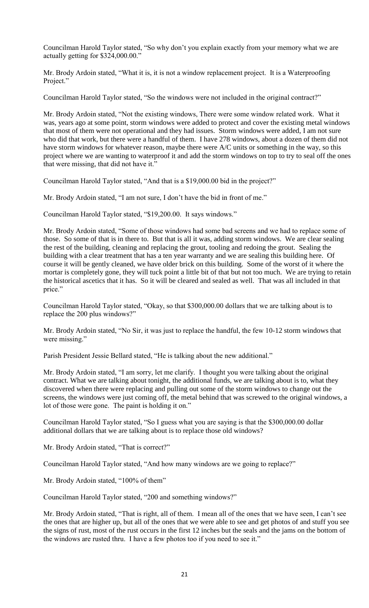Councilman Harold Taylor stated, "So why don't you explain exactly from your memory what we are actually getting for \$324,000.00."

Mr. Brody Ardoin stated, "What it is, it is not a window replacement project. It is a Waterproofing Project."

Councilman Harold Taylor stated, "So the windows were not included in the original contract?"

Mr. Brody Ardoin stated, "Not the existing windows, There were some window related work. What it was, years ago at some point, storm windows were added to protect and cover the existing metal windows that most of them were not operational and they had issues. Storm windows were added, I am not sure who did that work, but there were a handful of them. I have 278 windows, about a dozen of them did not have storm windows for whatever reason, maybe there were A/C units or something in the way, so this project where we are wanting to waterproof it and add the storm windows on top to try to seal off the ones that were missing, that did not have it."

Councilman Harold Taylor stated, "And that is a \$19,000.00 bid in the project?"

Mr. Brody Ardoin stated, "I am not sure, I don't have the bid in front of me."

Councilman Harold Taylor stated, "\$19,200.00. It says windows."

Mr. Brody Ardoin stated, "Some of those windows had some bad screens and we had to replace some of those. So some of that is in there to. But that is all it was, adding storm windows. We are clear sealing the rest of the building, cleaning and replacing the grout, tooling and redoing the grout. Sealing the building with a clear treatment that has a ten year warranty and we are sealing this building here. Of course it will be gently cleaned, we have older brick on this building. Some of the worst of it where the mortar is completely gone, they will tuck point a little bit of that but not too much. We are trying to retain the historical ascetics that it has. So it will be cleared and sealed as well. That was all included in that price."

Councilman Harold Taylor stated, "Okay, so that \$300,000.00 dollars that we are talking about is to replace the 200 plus windows?"

Mr. Brody Ardoin stated, "No Sir, it was just to replace the handful, the few 10-12 storm windows that were missing."

Parish President Jessie Bellard stated, "He is talking about the new additional."

Mr. Brody Ardoin stated, "I am sorry, let me clarify. I thought you were talking about the original contract. What we are talking about tonight, the additional funds, we are talking about is to, what they discovered when there were replacing and pulling out some of the storm windows to change out the screens, the windows were just coming off, the metal behind that was screwed to the original windows, a lot of those were gone. The paint is holding it on."

Councilman Harold Taylor stated, "So I guess what you are saying is that the \$300,000.00 dollar additional dollars that we are talking about is to replace those old windows?

Mr. Brody Ardoin stated, "That is correct?"

Councilman Harold Taylor stated, "And how many windows are we going to replace?"

Mr. Brody Ardoin stated, "100% of them"

Councilman Harold Taylor stated, "200 and something windows?"

Mr. Brody Ardoin stated, "That is right, all of them. I mean all of the ones that we have seen, I can't see the ones that are higher up, but all of the ones that we were able to see and get photos of and stuff you see the signs of rust, most of the rust occurs in the first 12 inches but the seals and the jams on the bottom of the windows are rusted thru. I have a few photos too if you need to see it."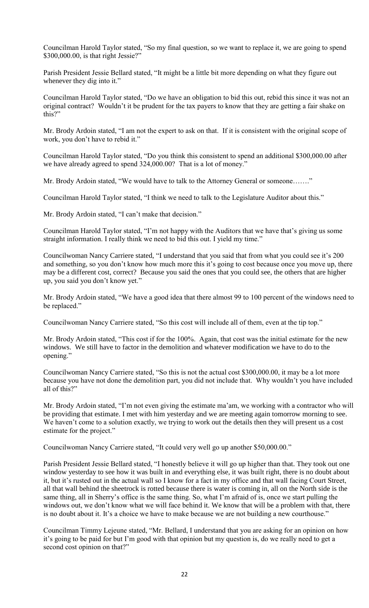Councilman Harold Taylor stated, "So my final question, so we want to replace it, we are going to spend \$300,000.00, is that right Jessie?"

Parish President Jessie Bellard stated, "It might be a little bit more depending on what they figure out whenever they dig into it."

Councilman Harold Taylor stated, "Do we have an obligation to bid this out, rebid this since it was not an original contract? Wouldn't it be prudent for the tax payers to know that they are getting a fair shake on this?"

Mr. Brody Ardoin stated, "I am not the expert to ask on that. If it is consistent with the original scope of work, you don't have to rebid it."

Councilman Harold Taylor stated, "Do you think this consistent to spend an additional \$300,000.00 after we have already agreed to spend 324,000.00? That is a lot of money."

Mr. Brody Ardoin stated, "We would have to talk to the Attorney General or someone......."

Councilman Harold Taylor stated, "I think we need to talk to the Legislature Auditor about this."

Mr. Brody Ardoin stated, "I can't make that decision."

Councilman Harold Taylor stated, "I'm not happy with the Auditors that we have that's giving us some straight information. I really think we need to bid this out. I yield my time."

Councilwoman Nancy Carriere stated, "I understand that you said that from what you could see it's 200 and something, so you don't know how much more this it's going to cost because once you move up, there may be a different cost, correct? Because you said the ones that you could see, the others that are higher up, you said you don't know yet."

Mr. Brody Ardoin stated, "We have a good idea that there almost 99 to 100 percent of the windows need to be replaced."

Councilwoman Nancy Carriere stated, "So this cost will include all of them, even at the tip top."

Mr. Brody Ardoin stated, "This cost if for the 100%. Again, that cost was the initial estimate for the new windows. We still have to factor in the demolition and whatever modification we have to do to the opening."

Councilwoman Nancy Carriere stated, "So this is not the actual cost \$300,000.00, it may be a lot more because you have not done the demolition part, you did not include that. Why wouldn't you have included all of this?"

Mr. Brody Ardoin stated, "I'm not even giving the estimate ma'am, we working with a contractor who will be providing that estimate. I met with him yesterday and we are meeting again tomorrow morning to see. We haven't come to a solution exactly, we trying to work out the details then they will present us a cost estimate for the project."

Councilwoman Nancy Carriere stated, "It could very well go up another \$50,000.00."

Parish President Jessie Bellard stated, "I honestly believe it will go up higher than that. They took out one window yesterday to see how it was built in and everything else, it was built right, there is no doubt about it, but it's rusted out in the actual wall so I know for a fact in my office and that wall facing Court Street, all that wall behind the sheetrock is rotted because there is water is coming in, all on the North side is the same thing, all in Sherry's office is the same thing. So, what I'm afraid of is, once we start pulling the windows out, we don't know what we will face behind it. We know that will be a problem with that, there is no doubt about it. It's a choice we have to make because we are not building a new courthouse."

Councilman Timmy Lejeune stated, "Mr. Bellard, I understand that you are asking for an opinion on how it's going to be paid for but I'm good with that opinion but my question is, do we really need to get a second cost opinion on that?"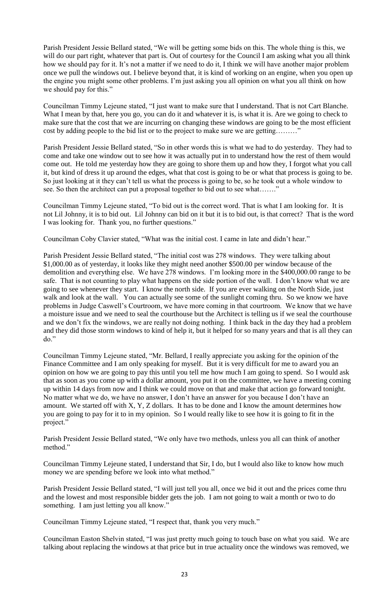Parish President Jessie Bellard stated, "We will be getting some bids on this. The whole thing is this, we will do our part right, whatever that part is. Out of courtesy for the Council I am asking what you all think how we should pay for it. It's not a matter if we need to do it, I think we will have another major problem once we pull the windows out. I believe beyond that, it is kind of working on an engine, when you open up the engine you might some other problems. I'm just asking you all opinion on what you all think on how we should pay for this."

Councilman Timmy Lejeune stated, "I just want to make sure that I understand. That is not Cart Blanche. What I mean by that, here you go, you can do it and whatever it is, is what it is. Are we going to check to make sure that the cost that we are incurring on changing these windows are going to be the most efficient cost by adding people to the bid list or to the project to make sure we are getting………"

Parish President Jessie Bellard stated, "So in other words this is what we had to do yesterday. They had to come and take one window out to see how it was actually put in to understand how the rest of them would come out. He told me yesterday how they are going to shore them up and how they, I forgot what you call it, but kind of dress it up around the edges, what that cost is going to be or what that process is going to be. So just looking at it they can't tell us what the process is going to be, so he took out a whole window to see. So then the architect can put a proposal together to bid out to see what......."

Councilman Timmy Lejeune stated, "To bid out is the correct word. That is what I am looking for. It is not Lil Johnny, it is to bid out. Lil Johnny can bid on it but it is to bid out, is that correct? That is the word I was looking for. Thank you, no further questions."

Councilman Coby Clavier stated, "What was the initial cost. I came in late and didn't hear."

Parish President Jessie Bellard stated, "The initial cost was 278 windows. They were talking about \$1,000.00 as of yesterday, it looks like they might need another \$500.00 per window because of the demolition and everything else. We have 278 windows. I'm looking more in the \$400,000.00 range to be safe. That is not counting to play what happens on the side portion of the wall. I don't know what we are going to see whenever they start. I know the north side. If you are ever walking on the North Side, just walk and look at the wall. You can actually see some of the sunlight coming thru. So we know we have problems in Judge Caswell's Courtroom, we have more coming in that courtroom. We know that we have a moisture issue and we need to seal the courthouse but the Architect is telling us if we seal the courthouse and we don't fix the windows, we are really not doing nothing. I think back in the day they had a problem and they did those storm windows to kind of help it, but it helped for so many years and that is all they can do."

Councilman Timmy Lejeune stated, "Mr. Bellard, I really appreciate you asking for the opinion of the Finance Committee and I am only speaking for myself. But it is very difficult for me to award you an opinion on how we are going to pay this until you tell me how much I am going to spend. So I would ask that as soon as you come up with a dollar amount, you put it on the committee, we have a meeting coming up within 14 days from now and I think we could move on that and make that action go forward tonight. No matter what we do, we have no answer, I don't have an answer for you because I don't have an amount. We started off with X, Y, Z dollars. It has to be done and I know the amount determines how you are going to pay for it to in my opinion. So I would really like to see how it is going to fit in the project."

Parish President Jessie Bellard stated, "We only have two methods, unless you all can think of another method."

Councilman Timmy Lejeune stated, I understand that Sir, I do, but I would also like to know how much money we are spending before we look into what method."

Parish President Jessie Bellard stated, "I will just tell you all, once we bid it out and the prices come thru and the lowest and most responsible bidder gets the job. I am not going to wait a month or two to do something. I am just letting you all know."

Councilman Timmy Lejeune stated, "I respect that, thank you very much."

Councilman Easton Shelvin stated, "I was just pretty much going to touch base on what you said. We are talking about replacing the windows at that price but in true actuality once the windows was removed, we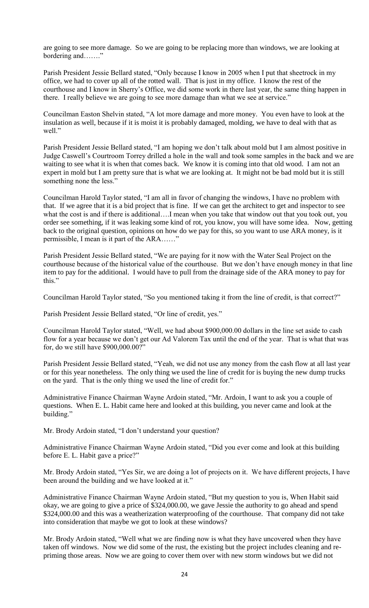are going to see more damage. So we are going to be replacing more than windows, we are looking at bordering and……."

Parish President Jessie Bellard stated, "Only because I know in 2005 when I put that sheetrock in my office, we had to cover up all of the rotted wall. That is just in my office. I know the rest of the courthouse and I know in Sherry's Office, we did some work in there last year, the same thing happen in there. I really believe we are going to see more damage than what we see at service."

Councilman Easton Shelvin stated, "A lot more damage and more money. You even have to look at the insulation as well, because if it is moist it is probably damaged, molding, we have to deal with that as well."

Parish President Jessie Bellard stated, "I am hoping we don't talk about mold but I am almost positive in Judge Caswell's Courtroom Torrey drilled a hole in the wall and took some samples in the back and we are waiting to see what it is when that comes back. We know it is coming into that old wood. I am not an expert in mold but I am pretty sure that is what we are looking at. It might not be bad mold but it is still something none the less."

Councilman Harold Taylor stated, "I am all in favor of changing the windows, I have no problem with that. If we agree that it is a bid project that is fine. If we can get the architect to get and inspector to see what the cost is and if there is additional….I mean when you take that window out that you took out, you order see something, if it was leaking some kind of rot, you know, you will have some idea. Now, getting back to the original question, opinions on how do we pay for this, so you want to use ARA money, is it permissible, I mean is it part of the ARA……"

Parish President Jessie Bellard stated, "We are paying for it now with the Water Seal Project on the courthouse because of the historical value of the courthouse. But we don't have enough money in that line item to pay for the additional. I would have to pull from the drainage side of the ARA money to pay for this."

Councilman Harold Taylor stated, "So you mentioned taking it from the line of credit, is that correct?"

Parish President Jessie Bellard stated, "Or line of credit, yes."

Councilman Harold Taylor stated, "Well, we had about \$900,000.00 dollars in the line set aside to cash flow for a year because we don't get our Ad Valorem Tax until the end of the year. That is what that was for, do we still have \$900,000.00?"

Parish President Jessie Bellard stated, "Yeah, we did not use any money from the cash flow at all last year or for this year nonetheless. The only thing we used the line of credit for is buying the new dump trucks on the yard. That is the only thing we used the line of credit for."

Administrative Finance Chairman Wayne Ardoin stated, "Mr. Ardoin, I want to ask you a couple of questions. When E. L. Habit came here and looked at this building, you never came and look at the building."

Mr. Brody Ardoin stated, "I don't understand your question?

Administrative Finance Chairman Wayne Ardoin stated, "Did you ever come and look at this building before E. L. Habit gave a price?"

Mr. Brody Ardoin stated, "Yes Sir, we are doing a lot of projects on it. We have different projects, I have been around the building and we have looked at it."

Administrative Finance Chairman Wayne Ardoin stated, "But my question to you is, When Habit said okay, we are going to give a price of \$324,000.00, we gave Jessie the authority to go ahead and spend \$324,000.00 and this was a weatherization waterproofing of the courthouse. That company did not take into consideration that maybe we got to look at these windows?

Mr. Brody Ardoin stated, "Well what we are finding now is what they have uncovered when they have taken off windows. Now we did some of the rust, the existing but the project includes cleaning and repriming those areas. Now we are going to cover them over with new storm windows but we did not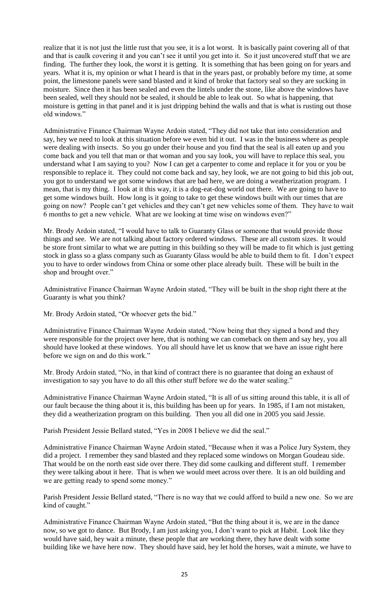realize that it is not just the little rust that you see, it is a lot worst. It is basically paint covering all of that and that is caulk covering it and you can't see it until you get into it. So it just uncovered stuff that we are finding. The further they look, the worst it is getting. It is something that has been going on for years and years. What it is, my opinion or what I heard is that in the years past, or probably before my time, at some point, the limestone panels were sand blasted and it kind of broke that factory seal so they are sucking in moisture. Since then it has been sealed and even the lintels under the stone, like above the windows have been sealed, well they should not be sealed, it should be able to leak out. So what is happening, that moisture is getting in that panel and it is just dripping behind the walls and that is what is rusting out those old windows."

Administrative Finance Chairman Wayne Ardoin stated, "They did not take that into consideration and say, hey we need to look at this situation before we even bid it out. I was in the business where as people were dealing with insects. So you go under their house and you find that the seal is all eaten up and you come back and you tell that man or that woman and you say look, you will have to replace this seal, you understand what I am saying to you? Now I can get a carpenter to come and replace it for you or you be responsible to replace it. They could not come back and say, hey look, we are not going to bid this job out, you got to understand we got some windows that are bad here, we are doing a weatherization program. I mean, that is my thing. I look at it this way, it is a dog-eat-dog world out there. We are going to have to get some windows built. How long is it going to take to get these windows built with our times that are going on now? People can't get vehicles and they can't get new vehicles some of them. They have to wait 6 months to get a new vehicle. What are we looking at time wise on windows even?"

Mr. Brody Ardoin stated, "I would have to talk to Guaranty Glass or someone that would provide those things and see. We are not talking about factory ordered windows. These are all custom sizes. It would be store front similar to what we are putting in this building so they will be made to fit which is just getting stock in glass so a glass company such as Guaranty Glass would be able to build them to fit. I don't expect you to have to order windows from China or some other place already built. These will be built in the shop and brought over."

Administrative Finance Chairman Wayne Ardoin stated, "They will be built in the shop right there at the Guaranty is what you think?

Mr. Brody Ardoin stated, "Or whoever gets the bid."

Administrative Finance Chairman Wayne Ardoin stated, "Now being that they signed a bond and they were responsible for the project over here, that is nothing we can comeback on them and say hey, you all should have looked at these windows. You all should have let us know that we have an issue right here before we sign on and do this work."

Mr. Brody Ardoin stated, "No, in that kind of contract there is no guarantee that doing an exhaust of investigation to say you have to do all this other stuff before we do the water sealing."

Administrative Finance Chairman Wayne Ardoin stated, "It is all of us sitting around this table, it is all of our fault because the thing about it is, this building has been up for years. In 1985, if I am not mistaken, they did a weatherization program on this building. Then you all did one in 2005 you said Jessie.

Parish President Jessie Bellard stated, "Yes in 2008 I believe we did the seal."

Administrative Finance Chairman Wayne Ardoin stated, "Because when it was a Police Jury System, they did a project. I remember they sand blasted and they replaced some windows on Morgan Goudeau side. That would be on the north east side over there. They did some caulking and different stuff. I remember they were talking about it here. That is when we would meet across over there. It is an old building and we are getting ready to spend some money."

Parish President Jessie Bellard stated, "There is no way that we could afford to build a new one. So we are kind of caught."

Administrative Finance Chairman Wayne Ardoin stated, "But the thing about it is, we are in the dance now, so we got to dance. But Brody, I am just asking you, I don't want to pick at Habit. Look like they would have said, hey wait a minute, these people that are working there, they have dealt with some building like we have here now. They should have said, hey let hold the horses, wait a minute, we have to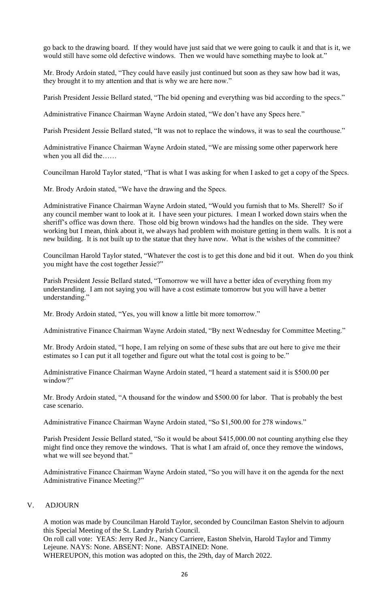go back to the drawing board. If they would have just said that we were going to caulk it and that is it, we would still have some old defective windows. Then we would have something maybe to look at."

Mr. Brody Ardoin stated, "They could have easily just continued but soon as they saw how bad it was, they brought it to my attention and that is why we are here now."

Parish President Jessie Bellard stated, "The bid opening and everything was bid according to the specs."

Administrative Finance Chairman Wayne Ardoin stated, "We don't have any Specs here."

Parish President Jessie Bellard stated, "It was not to replace the windows, it was to seal the courthouse."

Administrative Finance Chairman Wayne Ardoin stated, "We are missing some other paperwork here when you all did the……

Councilman Harold Taylor stated, "That is what I was asking for when I asked to get a copy of the Specs.

Mr. Brody Ardoin stated, "We have the drawing and the Specs.

Administrative Finance Chairman Wayne Ardoin stated, "Would you furnish that to Ms. Sherell? So if any council member want to look at it. I have seen your pictures. I mean I worked down stairs when the sheriff's office was down there. Those old big brown windows had the handles on the side. They were working but I mean, think about it, we always had problem with moisture getting in them walls. It is not a new building. It is not built up to the statue that they have now. What is the wishes of the committee?

Councilman Harold Taylor stated, "Whatever the cost is to get this done and bid it out. When do you think you might have the cost together Jessie?"

Parish President Jessie Bellard stated, "Tomorrow we will have a better idea of everything from my understanding. I am not saying you will have a cost estimate tomorrow but you will have a better understanding."

Mr. Brody Ardoin stated, "Yes, you will know a little bit more tomorrow."

Administrative Finance Chairman Wayne Ardoin stated, "By next Wednesday for Committee Meeting."

Mr. Brody Ardoin stated, "I hope, I am relying on some of these subs that are out here to give me their estimates so I can put it all together and figure out what the total cost is going to be."

Administrative Finance Chairman Wayne Ardoin stated, "I heard a statement said it is \$500.00 per window?"

Mr. Brody Ardoin stated, "A thousand for the window and \$500.00 for labor. That is probably the best case scenario.

Administrative Finance Chairman Wayne Ardoin stated, "So \$1,500.00 for 278 windows."

Parish President Jessie Bellard stated, "So it would be about \$415,000.00 not counting anything else they might find once they remove the windows. That is what I am afraid of, once they remove the windows, what we will see beyond that."

Administrative Finance Chairman Wayne Ardoin stated, "So you will have it on the agenda for the next Administrative Finance Meeting?"

### V. ADJOURN

A motion was made by Councilman Harold Taylor, seconded by Councilman Easton Shelvin to adjourn this Special Meeting of the St. Landry Parish Council.

On roll call vote: YEAS: Jerry Red Jr., Nancy Carriere, Easton Shelvin, Harold Taylor and Timmy Lejeune. NAYS: None. ABSENT: None. ABSTAINED: None.

WHEREUPON, this motion was adopted on this, the 29th, day of March 2022.